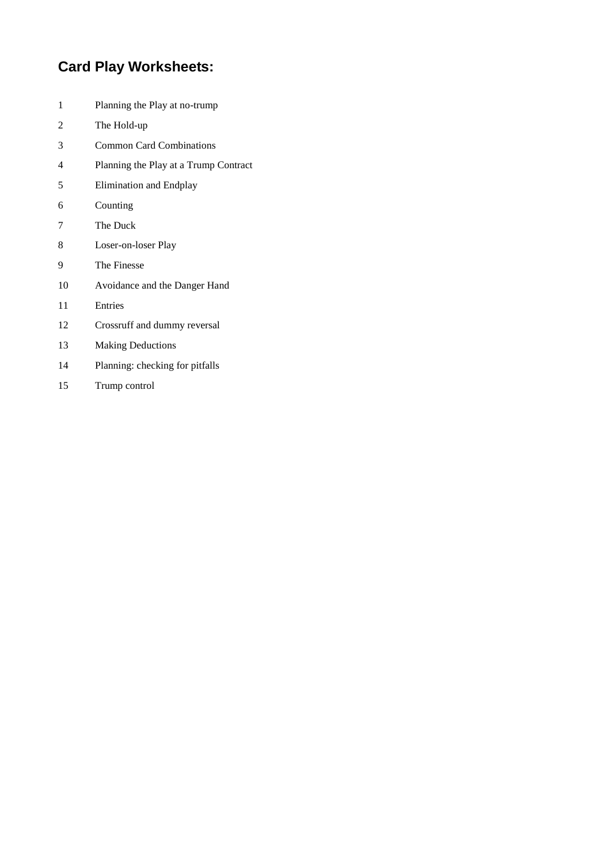# **Card Play Worksheets:**

- Planning the Play at no-trump
- The Hold-up
- Common Card Combinations
- Planning the Play at a Trump Contract
- Elimination and Endplay
- Counting
- The Duck
- Loser-on-loser Play
- The Finesse
- Avoidance and the Danger Hand
- Entries
- Crossruff and dummy reversal
- Making Deductions
- Planning: checking for pitfalls
- Trump control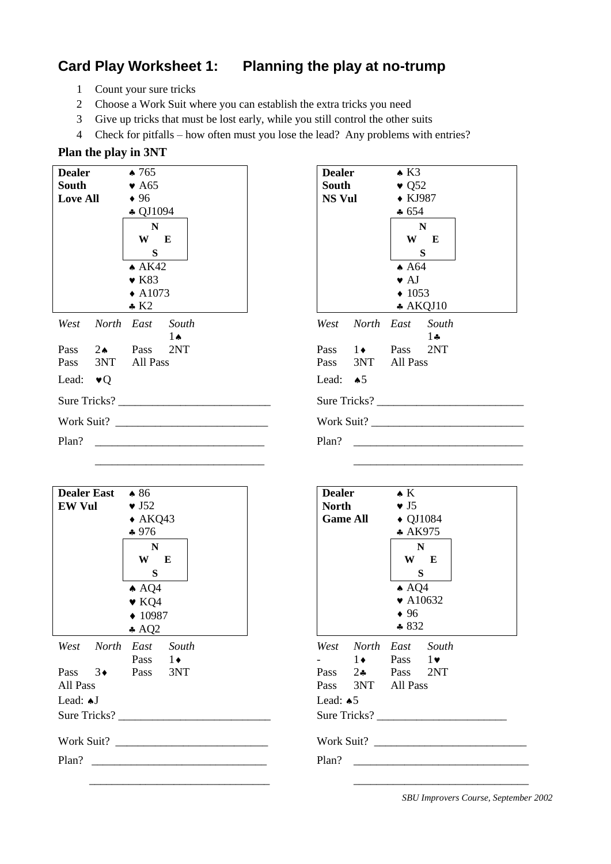# **Card Play Worksheet 1: Planning the play at no-trump**

- 1 Count your sure tricks
- 2 Choose a Work Suit where you can establish the extra tricks you need
- 3 Give up tricks that must be lost early, while you still control the other suits
- 4 Check for pitfalls how often must you lose the lead? Any problems with entries?

### **Plan the play in 3NT**

| <b>Dealer</b>            | $\star 765$                    | <b>Dealer</b><br>$\triangle$ K3        |
|--------------------------|--------------------------------|----------------------------------------|
| South                    | $\bullet$ A65                  | South<br>$\bullet$ Q <sub>52</sub>     |
| <b>Love All</b>          | $\bullet$ 96                   | <b>NS Vul</b><br>$\bullet$ KJ987       |
|                          | $\clubsuit$ QJ1094             | $\clubsuit 654$                        |
|                          | $\mathbf N$                    | $\mathbf N$                            |
|                          | W E                            | W E                                    |
|                          | S                              | S                                      |
|                          | $\triangle$ AK42               | $\triangle$ A64                        |
|                          | $\bullet$ K83                  | $\bullet$ AJ                           |
|                          | $\triangle$ A1073              | $\triangle$ 1053                       |
|                          | $\cdot$ K2                     | $*$ AKQJ10                             |
| West                     | North East South<br>$1\bullet$ | North East South<br>West<br>$1\bullet$ |
| $2 \bullet$ Pass<br>Pass | 2NT                            | Pass $1 \leftarrow$ Pass<br>2NT        |
| Pass                     | 3NT All Pass                   | 3NT All Pass<br>Pass                   |
| Lead: $\bullet$ Q        |                                | Lead: $\triangle$ 5                    |
|                          | Sure Tricks?                   | Sure Tricks?                           |
|                          |                                |                                        |
| Plan?                    |                                | Plan?                                  |
|                          |                                |                                        |

| 4<br>ŗ,                 |  | <b>Dealer</b><br>South<br>NS Vul |                                | $\triangle$ K3<br>$\bullet$ Q <sub>52</sub><br>$\bullet$ KJ987<br>$\clubsuit 654$<br>$\mathbf N$<br>$\mathbf S$<br>$\triangle$ A64<br>$\bullet$ AJ<br>$\triangleleft$ 1053 | W E<br>$*$ AKQJ10 |  |
|-------------------------|--|----------------------------------|--------------------------------|----------------------------------------------------------------------------------------------------------------------------------------------------------------------------|-------------------|--|
| South<br>$1 \spadesuit$ |  |                                  | West North East South          |                                                                                                                                                                            | $1 -$             |  |
| 2NT                     |  |                                  | Pass $1 \leftarrow$ Pass $2NT$ |                                                                                                                                                                            |                   |  |
|                         |  |                                  | Pass 3NT All Pass              |                                                                                                                                                                            |                   |  |
|                         |  | Lead: $\triangle$ 5              |                                |                                                                                                                                                                            |                   |  |
|                         |  |                                  | Sure Tricks?                   |                                                                                                                                                                            |                   |  |
|                         |  |                                  |                                |                                                                                                                                                                            | Work Suit?        |  |
|                         |  | Plan?                            |                                |                                                                                                                                                                            |                   |  |

| <b>Dealer East</b> $\bullet$ 86<br><b>EW Vul</b> | $\bullet$ J52<br>$\triangle$ AKQ43<br>$*976$<br>$\mathbf N$<br>W E<br>$\mathbf S$<br>$\spadesuit$ AQ4<br>$\blacktriangleright$ KQ4<br>$\triangle$ 10987<br>$\triangle$ AQ2 | <b>Dealer</b><br>$\bullet K$<br><b>North</b><br>$\bullet$ J5<br><b>Game All</b><br>$\triangle$ QJ1084<br>* AK975<br>$\mathbf N$<br>W E<br>S<br>$\triangle$ AQ4<br>$\blacktriangleright$ A10632<br>$\bullet$ 96<br>$*832$ |
|--------------------------------------------------|----------------------------------------------------------------------------------------------------------------------------------------------------------------------------|--------------------------------------------------------------------------------------------------------------------------------------------------------------------------------------------------------------------------|
| All Pass<br>Lead: AJ                             | West North East South<br>Pass $1\bullet$<br>Pass 3 <sup>+</sup> Pass 3NT<br>Sure Tricks?<br>Work Suit?                                                                     | West North East South<br>$-1$ 1 Pass 1<br>Pass 24 Pass 2NT<br>Pass 3NT All Pass<br>Lead: $\triangle$ 5<br>Sure Tricks?<br>Work Suit?<br>Plan?                                                                            |

| Dealer East * 86<br>EW Vul $\bullet$ J52 | $\triangle$ AKQ43<br>$*976$<br>$\mathbf N$<br>W E<br>S<br>$\triangle$ AQ4<br>$\blacktriangleright$ KQ4<br>$\triangle$ 10987<br>$\triangle$ AQ2 | $\bullet K$<br><b>Dealer</b><br>North $\bullet$ J5<br>Game All $\leftrightarrow$ QJ1084<br>$*$ AK975<br>$\mathbf N$<br>W E<br>$\mathbf S$<br>$\triangle$ AQ4<br>$\blacktriangleright$ A10632<br>$\bullet$ 96<br>$*832$ |
|------------------------------------------|------------------------------------------------------------------------------------------------------------------------------------------------|------------------------------------------------------------------------------------------------------------------------------------------------------------------------------------------------------------------------|
|                                          | West North East South<br>Pass $1\bullet$                                                                                                       | West North East South<br>$-1$ 1 Pass 1                                                                                                                                                                                 |
| All Pass                                 | Pass 3 <sup>+</sup> Pass 3NT                                                                                                                   | Pass 2. Pass 2NT<br>Pass 3NT All Pass                                                                                                                                                                                  |
| Lead: *J                                 |                                                                                                                                                | Lead: $\triangle$ 5                                                                                                                                                                                                    |
|                                          |                                                                                                                                                |                                                                                                                                                                                                                        |
|                                          | Work Suit?                                                                                                                                     | Work Suit?                                                                                                                                                                                                             |
|                                          | Plan?                                                                                                                                          | Plan?<br><u> 1980 - Johann Johann Stoff, deutscher Stoffen und der Stoffen und der Stoffen und der Stoffen und der Stoffen</u>                                                                                         |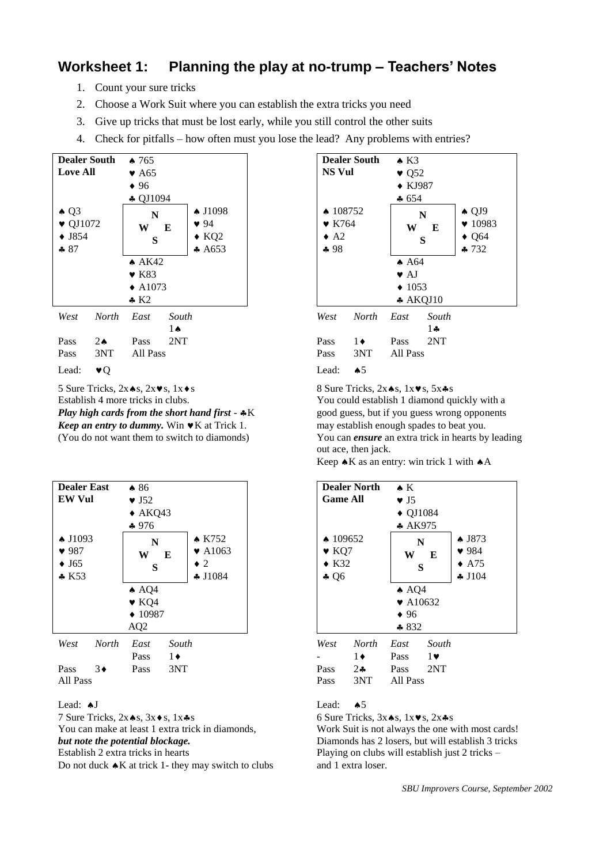### **Worksheet 1: Planning the play at no-trump – Teachers' Notes**

- 1. Count your sure tricks
- 2. Choose a Work Suit where you can establish the extra tricks you need
- 3. Give up tricks that must be lost early, while you still control the other suits
- 4. Check for pitfalls how often must you lose the lead? Any problems with entries?



5 Sure Tricks,  $2x \cdot 8$ ,  $2x \cdot 8$ ,  $1x \cdot 8$  Sure Tricks,  $2x \cdot 8$ ,  $1x \cdot 8$ ,  $1x \cdot 8$ ,  $5x \cdot 8$ Establish 4 more tricks in clubs. You could establish 1 diamond quickly with a *Play high cards from the short hand first* -  $*K$  good guess, but if you guess wrong opponents *Keep an entry to dummy.* Win  $\blacktriangledown K$  at Trick 1. may establish enough spades to beat you.



7 Sure Tricks,  $2x \cdot s$ ,  $3x \cdot s$ ,  $1x \cdot s$ You can make at least 1 extra trick in diamonds, Work Suit is not always the one with most cards! **but note the potential blockage.** Diamonds has 2 losers, but will establish 3 tricks Establish 2 extra tricks in hearts Playing on clubs will establish just 2 tricks – Do not duck  $\triangle K$  at trick 1- they may switch to clubs and 1 extra loser.



(You do not want them to switch to diamonds) You can *ensure* an extra trick in hearts by leading out ace, then jack.

Keep  $\triangle K$  as an entry: win trick 1 with  $\triangle A$ 



Lead:  $\bullet$ J Lead:  $\bullet$ S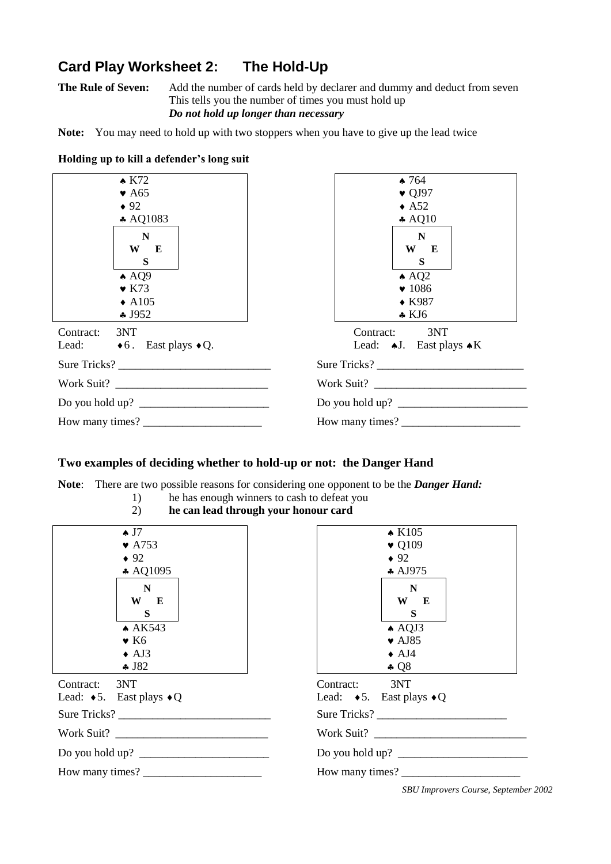# **Card Play Worksheet 2: The Hold-Up**

**The Rule of Seven:** Add the number of cards held by declarer and dummy and deduct from seven This tells you the number of times you must hold up *Do not hold up longer than necessary*

**Note:** You may need to hold up with two stoppers when you have to give up the lead twice

| $\triangle$ K72                              | $\bullet$ 764                             |
|----------------------------------------------|-------------------------------------------|
| $\blacktriangleright$ A65                    | $\bullet$ QJ97                            |
| $\bullet$ 92                                 | $\triangle$ A52                           |
| $\clubsuit$ AQ1083                           | $\clubsuit$ AQ10                          |
| N                                            | $\mathbf N$                               |
| W E                                          | W E                                       |
| <sub>S</sub>                                 | S                                         |
| $\triangle$ AQ9                              | $\triangle$ AQ2                           |
| $\bullet$ K73                                | $\blacktriangledown 1086$                 |
| $\triangle$ A105                             | $\bullet$ K987                            |
| $\clubsuit$ J952                             | $\star$ KJ6                               |
| Contract: 3NT                                | Contract: 3NT                             |
| Lead: $\bullet 6$ . East plays $\bullet Q$ . | Lead: $\bullet$ J. East plays $\bullet$ K |
| Sure Tricks?                                 | Sure Tricks?                              |
|                                              | Work Suit?                                |
|                                              |                                           |
| How many times?                              | How many times?                           |

#### **Holding up to kill a defender's long suit**

### **Two examples of deciding whether to hold-up or not: the Danger Hand**

**Note**: There are two possible reasons for considering one opponent to be the *Danger Hand:*

- 1) he has enough winners to cash to defeat you
	- 2) **he can lead through your honour card**

| $\bullet$ J7                               | $\triangle$ K105                           |
|--------------------------------------------|--------------------------------------------|
| $\blacktriangleright$ A753                 | $\bullet$ Q109                             |
| $\bullet$ 92                               | $\bullet$ 92                               |
| $\triangle$ AQ1095                         | $\clubsuit$ AJ975                          |
| $\mathbf N$                                | $\mathbf N$                                |
| W E                                        | W E                                        |
| S                                          | S                                          |
| $\triangle$ AK543                          | $\triangle$ AQJ3                           |
| $\bullet$ K <sub>6</sub>                   | $\blacktriangledown$ AJ85                  |
| $\triangle$ AJ3                            | $\bullet$ AJ4                              |
| \$J82                                      | $\clubsuit$ Q8                             |
| Contract: 3NT                              | Contract: 3NT                              |
| Lead: $\bullet 5$ . East plays $\bullet Q$ | Lead: $\bullet 5$ . East plays $\bullet Q$ |
| Sure Tricks?                               | Sure Tricks?                               |
| Work Suit?                                 |                                            |
|                                            | Do you hold up? $\sqrt{2}$                 |
|                                            | How many times?                            |

|                                 | $\star$ K105                               |  |
|---------------------------------|--------------------------------------------|--|
|                                 | $\bullet$ Q109                             |  |
|                                 | $\bullet$ 92                               |  |
|                                 | $\clubsuit$ AJ975                          |  |
|                                 | N                                          |  |
|                                 | W E                                        |  |
|                                 | S                                          |  |
|                                 | $\triangle$ AQJ3                           |  |
|                                 | $\bullet$ AJ85                             |  |
|                                 | $\bullet$ AJ4                              |  |
|                                 | $\clubsuit$ Q8                             |  |
| Contract:                       | 3NT                                        |  |
|                                 | Lead: $\bullet 5$ . East plays $\bullet Q$ |  |
| Sure Tricks?                    |                                            |  |
| Work Suit?                      |                                            |  |
| Do you hold up? $\qquad \qquad$ |                                            |  |
| How many times?                 |                                            |  |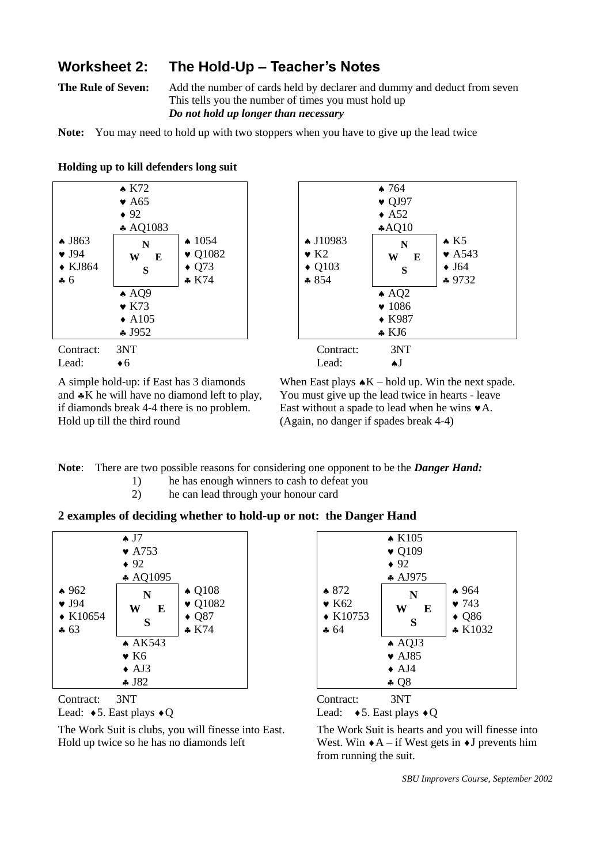### **Worksheet 2: The Hold-Up – Teacher's Notes**

**The Rule of Seven:** Add the number of cards held by declarer and dummy and deduct from seven This tells you the number of times you must hold up *Do not hold up longer than necessary*

**Note:** You may need to hold up with two stoppers when you have to give up the lead twice

|                                                                             | $\triangle$ K72<br>$\blacktriangleright$ A65                  |                                                                             |                                                                                   | $\bullet$ 764<br>$\bullet$ QJ97                                                 |
|-----------------------------------------------------------------------------|---------------------------------------------------------------|-----------------------------------------------------------------------------|-----------------------------------------------------------------------------------|---------------------------------------------------------------------------------|
|                                                                             | $\bullet$ 92<br>$\clubsuit$ AQ1083                            |                                                                             |                                                                                   | $\triangle$ A52<br>AQ10                                                         |
| $\triangle$ J863<br>$\bullet$ J94<br>$\blacklozenge$ KJ864<br>$\clubsuit 6$ | N<br>W<br>E<br>S                                              | $\spadesuit$ 1054<br>$\blacktriangledown$ Q1082<br>$\bullet$ Q73<br>$*$ K74 | $\triangle$ J10983<br>$\bullet$ K <sub>2</sub><br>$\triangleleft$ Q103<br>$* 854$ | N<br>W<br>S                                                                     |
|                                                                             | $\triangle$ AQ9<br>$\bullet$ K73<br>$\triangle$ A105<br>4J952 |                                                                             |                                                                                   | $\triangle$ AQ2<br>$\blacktriangledown$ 1086<br>$\bullet$ K987<br>$\bullet$ KJ6 |
| Contract:                                                                   | 3NT                                                           |                                                                             | Contract:                                                                         | 3NT                                                                             |

Hold up till the third round (Again, no danger if spades break 4-4)

 764  $\bullet$  QJ97  $\triangle$  A52 AQ10 ◆ J10983  $\bullet$  K<sub>2</sub>  $\triangle$  Q103  $$854$ **N W E S**  $\triangle$  K5  $\blacktriangleright$  A543  $\bullet$  J64 \* 9732  $\triangle$  AO2  $\bullet$  1086 ◆ K987 KJ6

Lead:  $\bullet 6$  Lead:  $\bullet J$ 

A simple hold-up: if East has 3 diamonds When East plays  $\star$ K – hold up. Win the next spade. and  $\clubsuit K$  he will have no diamond left to play, You must give up the lead twice in hearts - leave if diamonds break 4-4 there is no problem. East without a spade to lead when he wins  $\blacktriangleright$  A.

**Note**: There are two possible reasons for considering one opponent to be the *Danger Hand:*

- 1) he has enough winners to cash to defeat you
- 2) he can lead through your honour card

### **2 examples of deciding whether to hold-up or not: the Danger Hand**



Lead:  $\bullet$  5. East plays  $\bullet$  Q Lead:  $\bullet$  5. East plays  $\bullet$  Q

The Work Suit is clubs, you will finesse into East. The Work Suit is hearts and you will finesse into Hold up twice so he has no diamonds left West. Win  $\star$  A – if West gets in  $\star$  J prevents him





from running the suit.

*SBU Improvers Course, September 2002*

#### **Holding up to kill defenders long suit**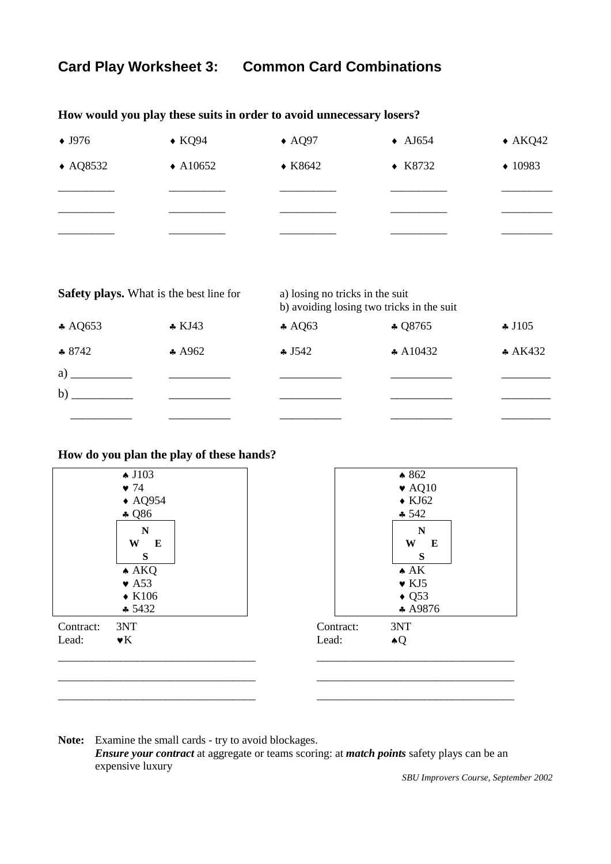# **Card Play Worksheet 3: Common Card Combinations**

| $\bullet$ J976     | $\bullet$ KQ94     | $\triangle$ AQ97 | $\triangle$ AJ654 | $\triangle$ AKQ42 |
|--------------------|--------------------|------------------|-------------------|-------------------|
| $\triangle$ AQ8532 | $\triangle$ A10652 | $\star$ K8642    | $\star$ K8732     | $\div 10983$      |
|                    |                    |                  |                   |                   |
|                    |                    |                  |                   |                   |
|                    |                    |                  |                   |                   |

**How would you play these suits in order to avoid unnecessary losers?**

|                   | <b>Safety plays.</b> What is the best line for | a) losing no tricks in the suit | b) avoiding losing two tricks in the suit |                  |
|-------------------|------------------------------------------------|---------------------------------|-------------------------------------------|------------------|
| $\triangle$ AQ653 | $\star$ KJ43                                   | $\ast$ AQ63                     | $\clubsuit$ Q8765                         | $\clubsuit$ J105 |
| $* 8742$          | $\ast$ A962                                    | $\clubsuit$ J542                | $\star$ A10432                            | $* A K432$       |
| a)                |                                                |                                 |                                           |                  |
| b)                |                                                |                                 |                                           |                  |
|                   |                                                |                                 |                                           |                  |

### **How do you plan the play of these hands?**

|           | $\triangle$ J103          | $*862$                     |
|-----------|---------------------------|----------------------------|
|           | $\bullet$ 74              | $\blacktriangleright$ AQ10 |
|           | $\triangle$ AQ954         | $\blacklozenge$ KJ62       |
|           | $-$ Q86                   | $-542$                     |
|           | $\mathbb N$               | $\mathbf N$                |
|           | W<br>$\mathbf E$          | W<br>$\mathbf E$           |
|           | ${\bf S}$                 | ${\bf S}$                  |
|           | $\triangle$ AKQ           | $\triangle$ AK             |
|           | $\blacktriangleright$ A53 | $\bullet$ KJ5              |
|           | $\blacklozenge$ K106      | $\triangleleft$ Q53        |
|           | \$5432                    | $*$ A9876                  |
| Contract: | 3NT                       | Contract:<br>3NT           |
| Lead:     | $\mathbf{v}$ K            | Lead:<br>$\triangle Q$     |
|           |                           |                            |
|           |                           |                            |
|           |                           |                            |

**Note:** Examine the small cards - try to avoid blockages. *Ensure your contract* at aggregate or teams scoring: at *match points* safety plays can be an expensive luxury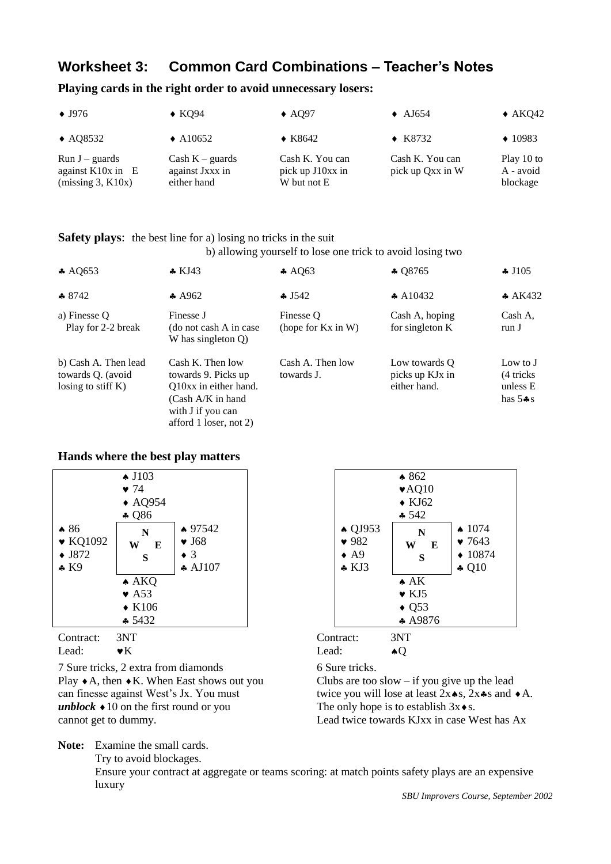## **Worksheet 3: Common Card Combinations – Teacher's Notes**

### **Playing cards in the right order to avoid unnecessary losers:**

| $\bullet$ J976                                                 | $\triangle$ KO94                                    | $\triangle$ AO97                                   | $\triangle$ AJ654                   | $\triangle$ AKQ42                   |
|----------------------------------------------------------------|-----------------------------------------------------|----------------------------------------------------|-------------------------------------|-------------------------------------|
| $\triangle$ AQ8532                                             | $\triangle$ A10652                                  | $\triangle$ K8642                                  | $\triangle$ K8732                   | $\triangle$ 10983                   |
| $Run J - guards$<br>against $K10x$ in $E$<br>(missing 3, K10x) | Cash $K$ – guards<br>against Jxxx in<br>either hand | Cash K. You can<br>pick up J10xx in<br>W but not E | Cash K. You can<br>pick up Qxx in W | Play 10 to<br>A - avoid<br>blockage |

#### **Safety plays:** the best line for a) losing no tricks in the suit

b) allowing yourself to lose one trick to avoid losing two

| $\ast$ AQ653                                                       | $\star$ KJ43                                                                                                                            | $\clubsuit$ AO63                     | $\clubsuit$ Q8765                                | $\clubsuit$ J105                                  |
|--------------------------------------------------------------------|-----------------------------------------------------------------------------------------------------------------------------------------|--------------------------------------|--------------------------------------------------|---------------------------------------------------|
| $\bullet$ 8742                                                     | $\ast$ A962                                                                                                                             | $-1542$                              | $\clubsuit$ A10432                               | A K432                                            |
| a) Finesse O<br>Play for 2-2 break                                 | Finesse J<br>(do not cash A in case)<br>W has singleton $Q$ )                                                                           | Finesse O<br>(hope for $Kx$ in $W$ ) | Cash A, hoping<br>for singleton K                | Cash A.<br>run J                                  |
| b) Cash A. Then lead<br>towards Q. (avoid<br>losing to stiff $K$ ) | Cash K. Then low<br>towards 9. Picks up<br>Q10xx in either hand.<br>$(Cash A/K)$ in hand<br>with J if you can<br>afford 1 loser, not 2) | Cash A. Then low<br>towards J.       | Low towards O<br>picks up KJx in<br>either hand. | Low to J<br>(4 tricks)<br>unless E<br>has $5 - s$ |

#### **Hands where the best play matters**

|                                                       | $\triangle$ J103<br>$\bullet$ 74<br>$\triangle$ AQ954<br>$\clubsuit$ Q86 |                                                           |
|-------------------------------------------------------|--------------------------------------------------------------------------|-----------------------------------------------------------|
| $*86$<br>$\bullet$ KQ1092<br>$\bullet$ J872<br>$*$ K9 | N<br>E<br>W<br>S                                                         | $*97542$<br>$\bullet$ J68<br>$\bullet$ 3<br>$\star$ AJ107 |
|                                                       | $\triangle$ AKQ                                                          |                                                           |
|                                                       | $\bullet$ A53                                                            |                                                           |
|                                                       | $\bullet$ K106                                                           |                                                           |
|                                                       | $-5432$                                                                  |                                                           |

7 Sure tricks, 2 extra from diamonds 6 Sure tricks. Play  $\bullet$  A, then  $\bullet$  K. When East shows out you Clubs are too slow – if you give up the lead *unblock*  $\triangleleft 10$  on the first round or you The only hope is to establish  $3x \triangleleft s$ .

**Note:** Examine the small cards.

Try to avoid blockages.



| Contract: 3NT |                | Contract: | 3NT |
|---------------|----------------|-----------|-----|
| Lead:         | $\mathbf{v}$ K | Lead:     |     |

can finesse against West's Jx. You must twice you will lose at least  $2x \cdot s$ ,  $2x \cdot s$  and  $\cdot A$ . cannot get to dummy. Lead twice towards KJxx in case West has Ax

Ensure your contract at aggregate or teams scoring: at match points safety plays are an expensive luxury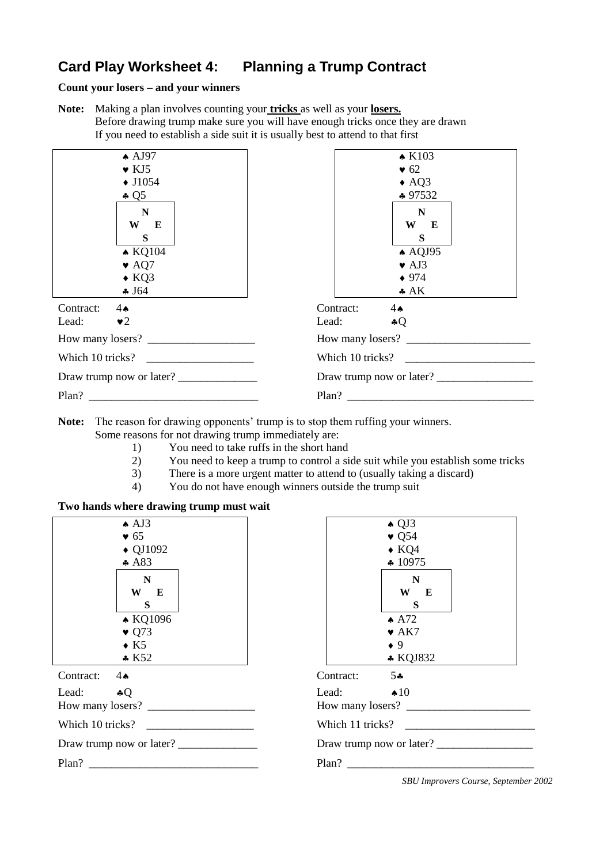# **Card Play Worksheet 4: Planning a Trump Contract**

#### **Count your losers – and your winners**

**Note:** Making a plan involves counting your **tricks** as well as your **losers.** Before drawing trump make sure you will have enough tricks once they are drawn If you need to establish a side suit it is usually best to attend to that first



**Note:** The reason for drawing opponents' trump is to stop them ruffing your winners. Some reasons for not drawing trump immediately are:

- 1) You need to take ruffs in the short hand
- 2) You need to keep a trump to control a side suit while you establish some tricks
- 3) There is a more urgent matter to attend to (usually taking a discard)
- 4) You do not have enough winners outside the trump suit

### **Two hands where drawing trump must wait**

| $\triangle$ AJ3                                                   | $\triangle$ QJ3           |
|-------------------------------------------------------------------|---------------------------|
| $\bullet$ 65                                                      | $\bullet$ Q54             |
| $\triangle$ QJ1092                                                | $\bullet$ KQ4             |
| $\clubsuit$ A83                                                   | $\div 10975$              |
| N                                                                 | $\mathbf N$               |
| W E                                                               | W E                       |
| S                                                                 | S                         |
| ▲ KQ1096                                                          | $\triangle$ A72           |
| $\bullet$ Q73                                                     | $\blacktriangleright$ AK7 |
| $\bullet$ K5                                                      | $\bullet$ 9               |
| K52                                                               | $*$ KQJ832                |
| Contract:                                                         | $5 -$                     |
| $4 \spadesuit$                                                    | Contract:                 |
| Lead: $\clubsuit Q$                                               | Lead: $\bullet$ 10        |
|                                                                   | How many losers?          |
| Which 10 tricks?                                                  | Which 11 tricks?          |
|                                                                   | Draw trump now or later?  |
| Plan?<br><u> 1980 - An Aonaichte ann an t-Aonaichte ann an t-</u> | Plan?                     |

|                  | $\triangle$ QJ3          |  |
|------------------|--------------------------|--|
|                  | $\bullet$ Q54            |  |
|                  | $\bullet$ KQ4            |  |
|                  | $\clubsuit$ 10975        |  |
|                  | N                        |  |
|                  | W E                      |  |
|                  | S                        |  |
|                  | $\triangle$ A72          |  |
|                  | $\bullet$ AK7            |  |
|                  | $\bullet$ 9              |  |
|                  | * KQJ832                 |  |
| Contract:        | $5*$                     |  |
| Lead:            | $\triangle 10$           |  |
| How many losers? |                          |  |
| Which 11 tricks? |                          |  |
|                  | Draw trump now or later? |  |
| Plan?            |                          |  |
|                  |                          |  |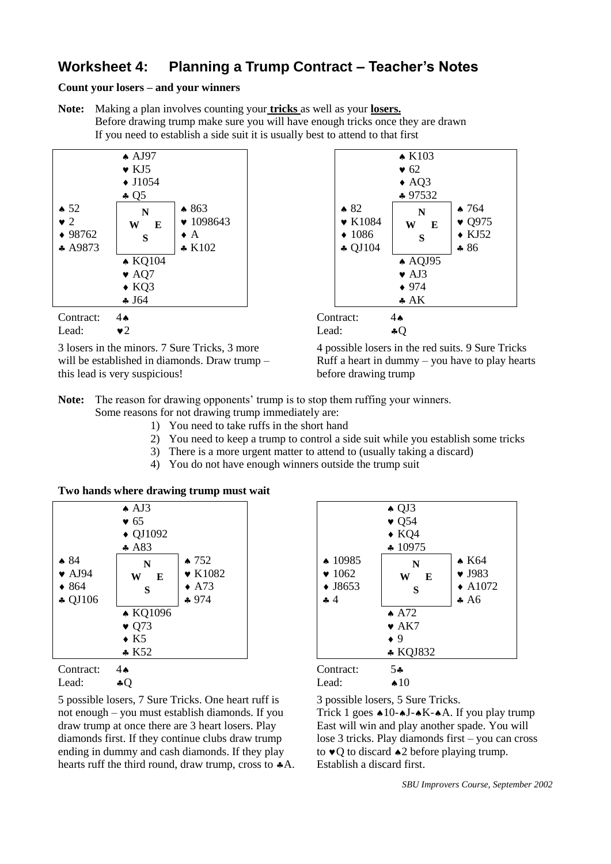### **Worksheet 4: Planning a Trump Contract – Teacher's Notes**

**Count your losers – and your winners**

**Note:** Making a plan involves counting your **tricks** as well as your **losers.** Before drawing trump make sure you will have enough tricks once they are drawn If you need to establish a side suit it is usually best to attend to that first



3 losers in the minors. 7 Sure Tricks, 3 more 4 possible losers in the red suits. 9 Sure Tricks this lead is very suspicious! before drawing trump





will be established in diamonds. Draw trump  $-$  Ruff a heart in dummy – you have to play hearts

- **Note:** The reason for drawing opponents' trump is to stop them ruffing your winners. Some reasons for not drawing trump immediately are:
	- 1) You need to take ruffs in the short hand
	- 2) You need to keep a trump to control a side suit while you establish some tricks
	- 3) There is a more urgent matter to attend to (usually taking a discard)
	- 4) You do not have enough winners outside the trump suit

**Two hands where drawing trump must wait**

|                            | $\triangle$ AJ3    |                 |                           | $\bullet$ Q   |
|----------------------------|--------------------|-----------------|---------------------------|---------------|
|                            | $\bullet$ 65       |                 |                           | $\bullet$ Q   |
|                            | $\triangle$ QJ1092 |                 |                           | $\bullet$ K   |
|                            | A83                |                 |                           | 41            |
| $\bullet 84$               | N                  | $\bullet$ 752   | $\spadesuit$ 10985        |               |
| $\blacktriangleright$ AJ94 | W<br>E             | $\bullet$ K1082 | $\blacktriangledown 1062$ | V             |
| $\bullet$ 864              | S                  | $\triangle$ A73 | $\blacklozenge$ J8653     |               |
| $\clubsuit$ QJ106          |                    | $*974$          | 44                        |               |
|                            | ▲ KQ1096           |                 |                           | $\triangle$ A |
|                            | $\bullet$ Q73      |                 |                           | $\bullet$ A   |
|                            | $\bullet$ K5       |                 |                           | $\bullet$ 9   |
|                            | K52                |                 |                           | $\bullet K$   |
| Contract:                  | 4Ѧ                 |                 | Contract:                 | 54            |

5 possible losers, 7 Sure Tricks. One heart ruff is 3 possible losers, 5 Sure Tricks. not enough – you must establish diamonds. If you Trick 1 goes  $*10$ - $*J$ - $*K$ - $*A$ . If you play trump draw trump at once there are 3 heart losers. Play East will win and play another spade. You will diamonds first. If they continue clubs draw trump lose 3 tricks. Play diamonds first – you can cross ending in dummy and cash diamonds. If they play to  $\bullet$  O to discard  $\bullet$  2 before playing trump. hearts ruff the third round, draw trump, cross to  $*A$ . Establish a discard first.



Lead:  $\bullet Q$  Lead:  $\bullet 10$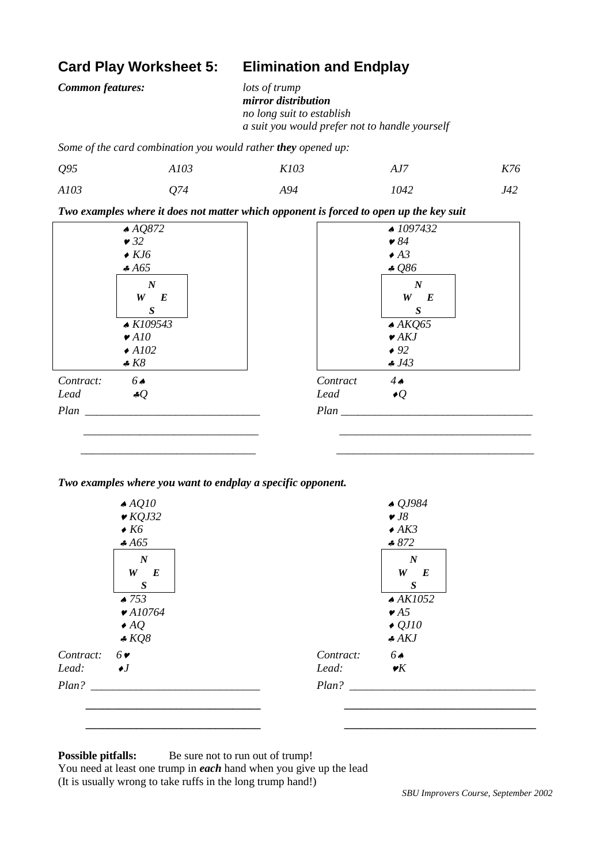### **Card Play Worksheet 5: Elimination and Endplay**

*Common features: lots of trump*

*mirror distribution no long suit to establish a suit you would prefer not to handle yourself*

*Some of the card combination you would rather they opened up:*

| Q <sub>95</sub> | A103 | K103 | AJ7  | K76 |
|-----------------|------|------|------|-----|
| A103            | Q74  | A94  | 1042 | J42 |

*Two examples where it does not matter which opponent is forced to open up the key suit*

| AQQ872                      | 41097432                  |
|-----------------------------|---------------------------|
| $\bullet$ 32                | $\bullet 84$              |
| $\bullet$ KJ6               | $\triangle$ A3            |
| A65                         | 4086                      |
| $\boldsymbol{N}$            | $\boldsymbol{N}$          |
| $W$ $E$                     | $W$ $E$                   |
| $\boldsymbol{S}$            | $\boldsymbol{S}$          |
| $\triangle$ K109543         | $\triangle$ AKQ65         |
| $\blacktriangleright$ A10   | $\blacktriangleright$ AKJ |
| $\triangle$ A102            | $\bullet$ 92              |
| $\clubsuit K8$              | . J43                     |
| 6 <sub>4</sub><br>Contract: | $4\bullet$<br>Contract    |
| Lead<br>4 $Q$               | $\bullet Q$<br>Lead       |
| Plan                        | Plan                      |
|                             |                           |

 *\_\_\_\_\_\_\_\_\_\_\_\_\_\_\_\_\_\_\_\_\_\_\_\_\_\_\_\_\_\_\_ \_\_\_\_\_\_\_\_\_\_\_\_\_\_\_\_\_\_\_\_\_\_\_\_\_\_\_\_\_\_\_\_\_\_\_*

*Two examples where you want to endplay a specific opponent.*



### **Possible pitfalls:** Be sure not to run out of trump!

You need at least one trump in *each* hand when you give up the lead (It is usually wrong to take ruffs in the long trump hand!)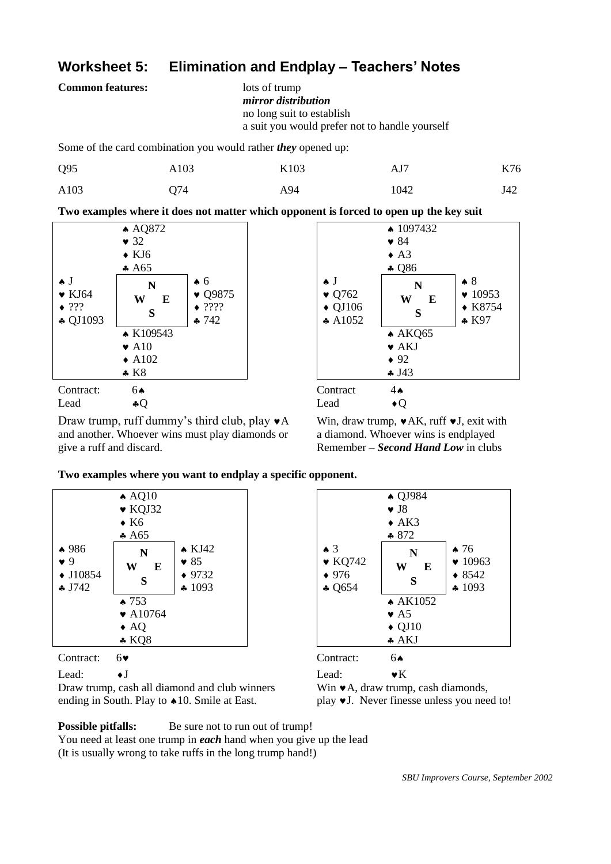## **Worksheet 5: Elimination and Endplay – Teachers' Notes**

**Common features:** lots of trump

```
mirror distribution
no long suit to establish
a suit you would prefer not to handle yourself
```
Some of the card combination you would rather *they* opened up:

| Q <sub>95</sub> | A103 | K103 | AJ7  | K76 |
|-----------------|------|------|------|-----|
| A103            | Q74  | A94  | 1042 | J42 |

**Two examples where it does not matter which opponent is forced to open up the key suit**



Draw trump, ruff dummy's third club, play  $\mathbf{v}$ A Win, draw trump,  $\mathbf{v}$ AK, ruff  $\mathbf{v}$ J, exit with and another. Whoever wins must play diamonds or a diamond. Whoever wins is endplayed



give a ruff and discard. Remember – *Second Hand Low* in clubs

**Two examples where you want to endplay a specific opponent.**



Lead:  $\bullet$  J Lead:  $\bullet$  K

Draw trump, cash all diamond and club winners Win  $\mathbf{v}$ A, draw trump, cash diamonds, ending in South. Play to  $\triangle 10$ . Smile at East. play  $\blacktriangledown J$ . Never finesse unless you need to!



**Possible pitfalls:** Be sure not to run out of trump!

You need at least one trump in *each* hand when you give up the lead

(It is usually wrong to take ruffs in the long trump hand!)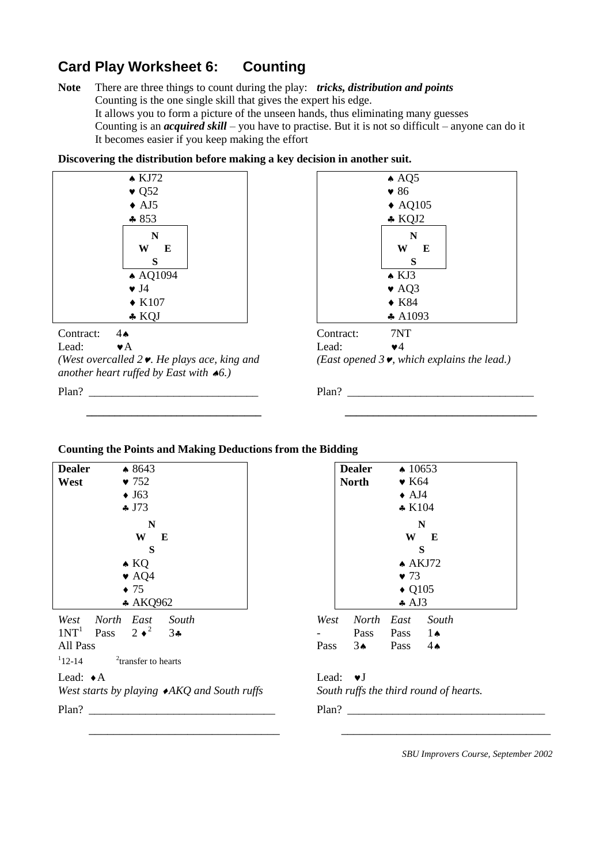# **Card Play Worksheet 6: Counting**

**Note** There are three things to count during the play: *tricks, distribution and points* Counting is the one single skill that gives the expert his edge. It allows you to form a picture of the unseen hands, thus eliminating many guesses Counting is an *acquired skill* – you have to practise. But it is not so difficult – anyone can do it It becomes easier if you keep making the effort

**Discovering the distribution before making a key decision in another suit.**



*(West overcalled 2. He plays ace, king and (East opened 3, which explains the lead.) another heart ruffed by East with 6.)*



| Contract: | 7NT                                                 |
|-----------|-----------------------------------------------------|
| Lead:     | $\bullet$ $4$                                       |
|           | East opened 3 $\bullet$ , which explains the lead.) |

Plan? \_\_\_\_\_\_\_\_\_\_\_\_\_\_\_\_\_\_\_\_\_\_\_\_\_\_\_\_\_\_ Plan? \_\_\_\_\_\_\_\_\_\_\_\_\_\_\_\_\_\_\_\_\_\_\_\_\_\_\_\_\_\_\_\_\_

 **\_\_\_\_\_\_\_\_\_\_\_\_\_\_\_\_\_\_\_\_\_\_\_\_\_\_\_\_\_\_\_ \_\_\_\_\_\_\_\_\_\_\_\_\_\_\_\_\_\_\_\_\_\_\_\_\_\_\_\_\_\_\_\_\_\_**

### **Counting the Points and Making Deductions from the Bidding**

| <b>Dealer</b><br>West                             | $*8643$<br>$\bullet$ 752<br>$\bullet$ J63<br>$\clubsuit$ J73                               | <b>Dealer</b><br><b>North</b>               | $\triangle$ 10653<br>$\bullet$ K64<br>$\bullet$ AJ4<br>$*$ K104                              |
|---------------------------------------------------|--------------------------------------------------------------------------------------------|---------------------------------------------|----------------------------------------------------------------------------------------------|
|                                                   | N<br>W<br>E<br>S<br>$\triangle$ KQ<br>$\bullet$ AQ4<br>$\bullet$ 75<br>* AKQ962            |                                             | N<br>W<br>E<br>S<br>$\triangle$ AKJ72<br>$\bullet$ 73<br>$\triangle$ Q105<br>$\clubsuit$ AJ3 |
| West<br>1NT <sup>1</sup><br>All Pass<br>$12 - 14$ | North East<br>South<br>Pass $2 \cdot \sqrt[2]{ }$<br>34<br><sup>2</sup> transfer to hearts | West<br>Pass<br>Pass<br>$3\bullet$          | North<br>East<br>South<br>$1\spadesuit$<br>Pass<br>Pass<br>$4\spadesuit$                     |
| Lead: $\triangle$ A<br>Plan?                      | West starts by playing $\blacktriangleright$ AKQ and South ruffs                           | Lead:<br>$\mathbf{v}$ $\mathbf{J}$<br>Plan? | South ruffs the third round of                                                               |

|                |      | <b>Dealer</b>  | $\triangle$ 10653      |               |  |  |
|----------------|------|----------------|------------------------|---------------|--|--|
|                |      | <b>North</b>   | $\bullet$ K64          |               |  |  |
|                |      |                | $\triangle$ AJ4        |               |  |  |
|                |      |                | $* K104$               |               |  |  |
|                |      |                |                        | N             |  |  |
|                |      |                | W                      | E             |  |  |
|                |      | S<br>$A$ AKJ72 |                        |               |  |  |
|                |      |                |                        |               |  |  |
|                |      |                | $\bullet$ 73           |               |  |  |
|                |      |                | $\triangle$ Q105       |               |  |  |
| $\overline{c}$ |      |                | $\clubsuit$ AJ3        |               |  |  |
| South          | West | North East     |                        | South         |  |  |
| $3\bullet$     |      | Pass           | Pass $1 \triangleleft$ |               |  |  |
|                | Pass | $3^$           | Pass                   | $4\spadesuit$ |  |  |
| arts           |      |                |                        |               |  |  |
|                |      |                |                        |               |  |  |

### Lead:  $\bullet$  J

*South ruffs the third round of hearts.* 

 $Plan?$ 

 $\overline{\phantom{a}}$  , and the contribution of the contribution of the contribution of the contribution of the contribution of the contribution of the contribution of the contribution of the contribution of the contribution of the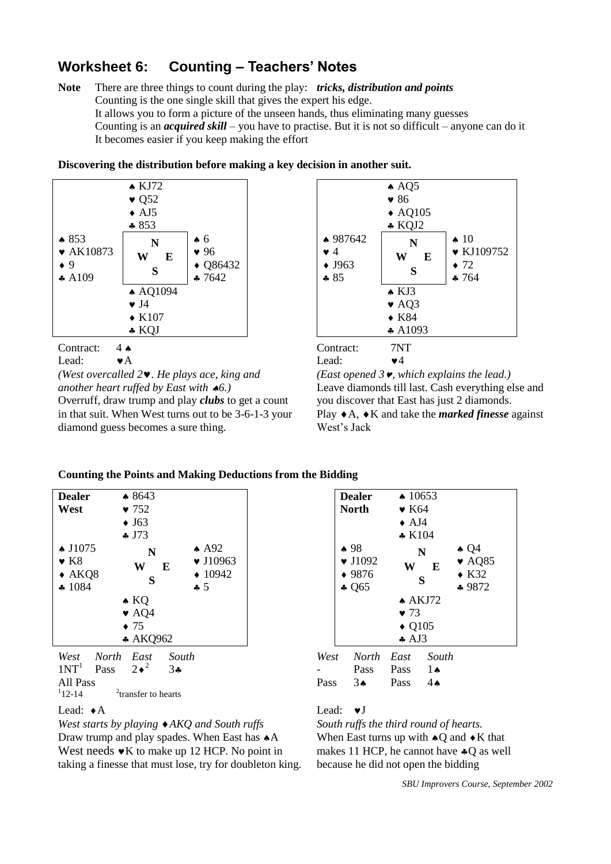# **Worksheet 6: Counting – Teachers' Notes**

**Note** There are three things to count during the play: *tricks, distribution and points* Counting is the one single skill that gives the expert his edge. It allows you to form a picture of the unseen hands, thus eliminating many guesses Counting is an *acquired skill* – you have to practise. But it is not so difficult – anyone can do it It becomes easier if you keep making the effort



**Discovering the distribution before making a key decision in another suit.**

Contract: 4 Contract: 7NT Lead:  $\bullet$  A Lead:  $\bullet$  4 *(West overcalled 2. He plays ace, king and (East opened 3, which explains the lead.)* Overruff, draw trump and play *clubs* to get a count you discover that East has just 2 diamonds.

in that suit. When West turns out to be  $3-6-1-3$  your Play  $\triangle$  A,  $\triangle$  K and take the *marked finesse* against diamond guess becomes a sure thing. West's Jack



*another heart ruffed by East with 6.)* Leave diamonds till last. Cash everything else and

#### **Counting the Points and Making Deductions from the Bidding**

| <b>Dealer</b>                                                            | $*8643$                         |                                                                                 |      | <b>Dealer</b>                                                             | $\triangle$ 10653                   |               |
|--------------------------------------------------------------------------|---------------------------------|---------------------------------------------------------------------------------|------|---------------------------------------------------------------------------|-------------------------------------|---------------|
| West                                                                     | $\bullet$ 752                   |                                                                                 |      | <b>North</b>                                                              | $\bullet$ K64                       |               |
|                                                                          | $\bullet$ J63                   |                                                                                 |      |                                                                           | $\triangle$ AJ4                     |               |
|                                                                          | $\clubsuit$ J73                 |                                                                                 |      |                                                                           | $*$ K104                            |               |
| $\bullet$ J1075<br>$\bullet$ K <sub>8</sub><br>$\triangle$ AKQ8<br>41084 | N<br>W<br>E<br>S                | $\triangle$ A92<br>$\blacktriangledown$ J10963<br>$\div 10942$<br>$\clubsuit 5$ |      | $\bullet$ 98<br>$\blacktriangledown$ J1092<br>$* 9876$<br>$\clubsuit$ Q65 | W                                   | N<br>E<br>S   |
|                                                                          | $\triangle$ KQ                  |                                                                                 |      |                                                                           | $\bullet$ 73                        | $A$ AKJ72     |
|                                                                          | $\bullet$ AQ4                   |                                                                                 |      |                                                                           |                                     |               |
|                                                                          | $\bullet$ 75<br>* AKQ962        |                                                                                 |      |                                                                           | $\triangle$ Q105<br>$\clubsuit$ AJ3 |               |
| West<br>North                                                            | South<br>East                   |                                                                                 | West | <b>North</b>                                                              | East                                | South         |
| 1NT <sup>1</sup><br>Pass                                                 | $2\bullet^2$<br>$3\bullet$      |                                                                                 |      | Pass                                                                      | Pass                                | $1\spadesuit$ |
| All Pass                                                                 |                                 |                                                                                 | Pass | $3\spadesuit$                                                             | Pass                                | $4\spadesuit$ |
| $112 - 14$                                                               | <sup>2</sup> transfer to hearts |                                                                                 |      |                                                                           |                                     |               |

*West starts by playing AKQ and South ruffs South ruffs the third round of hearts.* Draw trump and play spades. When East has  $\triangle$  A When East turns up with  $\triangle$ Q and  $\triangle$ K that West needs  $\mathbf{v}$ K to make up 12 HCP. No point in makes 11 HCP, he cannot have  $\ast$ O as well taking a finesse that must lose, try for doubleton king. because he did not open the bidding

|                                                                                 |      | <b>Dealer</b><br><b>North</b>                                             | $\triangle$ 10653<br>$\bullet$ K64<br>$\bullet$ AJ4<br>$*$ K104 |                             |                                                                          |
|---------------------------------------------------------------------------------|------|---------------------------------------------------------------------------|-----------------------------------------------------------------|-----------------------------|--------------------------------------------------------------------------|
| $\triangle$ A92<br>$\blacktriangledown$ J10963<br>$\div 10942$<br>$\clubsuit 5$ |      | $\bullet$ 98<br>$\blacktriangledown$ J1092<br>$* 9876$<br>$\clubsuit$ Q65 | N<br>W<br>S<br>$A$ AKJ72                                        | E                           | $\triangle Q4$<br>$\blacktriangleright$ AQ85<br>$\bullet$ K32<br>$*9872$ |
|                                                                                 |      |                                                                           | $\bullet$ 73<br>$\triangle$ Q105<br>$\clubsuit$ AJ3             |                             |                                                                          |
| South                                                                           | West | <b>North</b>                                                              | East                                                            | South                       |                                                                          |
| $3 -$                                                                           | Pass | Pass<br>$3\spadesuit$                                                     | Pass<br>Pass                                                    | $1\bullet$<br>$4\spadesuit$ |                                                                          |

#### Lead:  $\bullet$  A Lead:  $\bullet$  J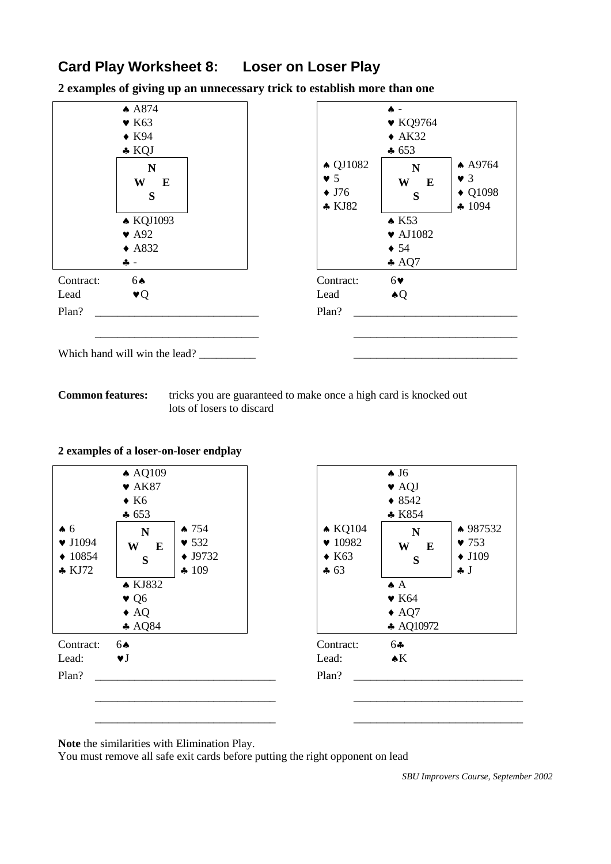# **Card Play Worksheet 8: Loser on Loser Play**

**2 examples of giving up an unnecessary trick to establish more than one**



**Common features:** tricks you are guaranteed to make once a high card is knocked out lots of losers to discard

| 2 examples of a loser-on-loser endplay |  |  |  |
|----------------------------------------|--|--|--|
|                                        |  |  |  |



**Note** the similarities with Elimination Play.

You must remove all safe exit cards before putting the right opponent on lead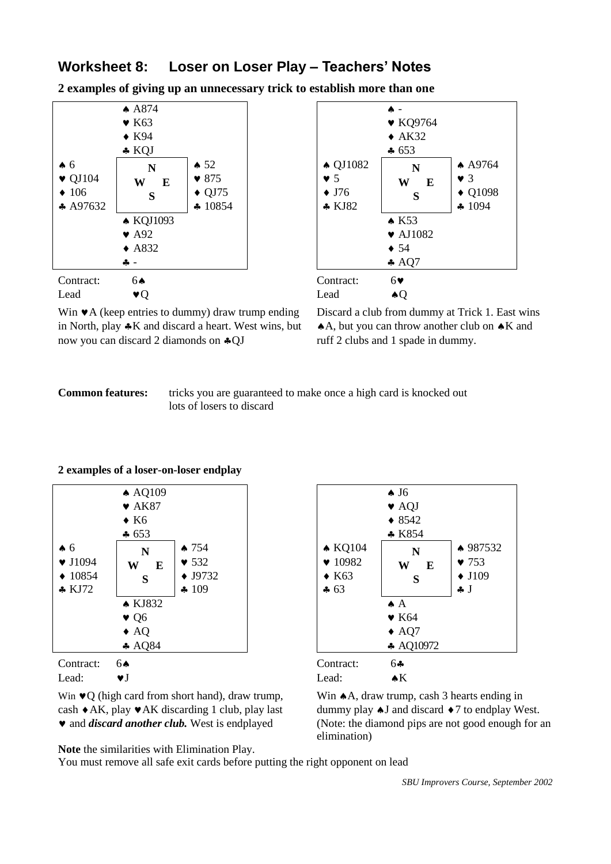### **Worksheet 8: Loser on Loser Play – Teachers' Notes**

**2 examples of giving up an unnecessary trick to establish more than one**





Win  $\mathbf$  A (keep entries to dummy) draw trump ending Discard a club from dummy at Trick 1. East wins in North, play  $\clubsuit K$  and discard a heart. West wins, but  $\spadesuit A$ , but you can throw another club on  $\clubsuit K$  and now you can discard 2 diamonds on  $\trianglelefteq$  OJ ruff 2 clubs and 1 spade in dummy.

#### **Common features:** tricks you are guaranteed to make once a high card is knocked out lots of losers to discard

### **2 examples of a loser-on-loser endplay**



Win  $\blacktriangleright Q$  (high card from short hand), draw trump, Win  $\blacktriangleright A$ , draw trump, cash 3 hearts ending in cash  $\triangle$ AK, play  $\triangle$ AK discarding 1 club, play last dummy play  $\triangle$ J and discard  $\triangle$ 7 to endplay West.



Lead:  $\bullet$ J Lead:  $\bullet$ K

• and *discard another club*. West is endplayed (Note: the diamond pips are not good enough for an elimination)

**Note** the similarities with Elimination Play.

You must remove all safe exit cards before putting the right opponent on lead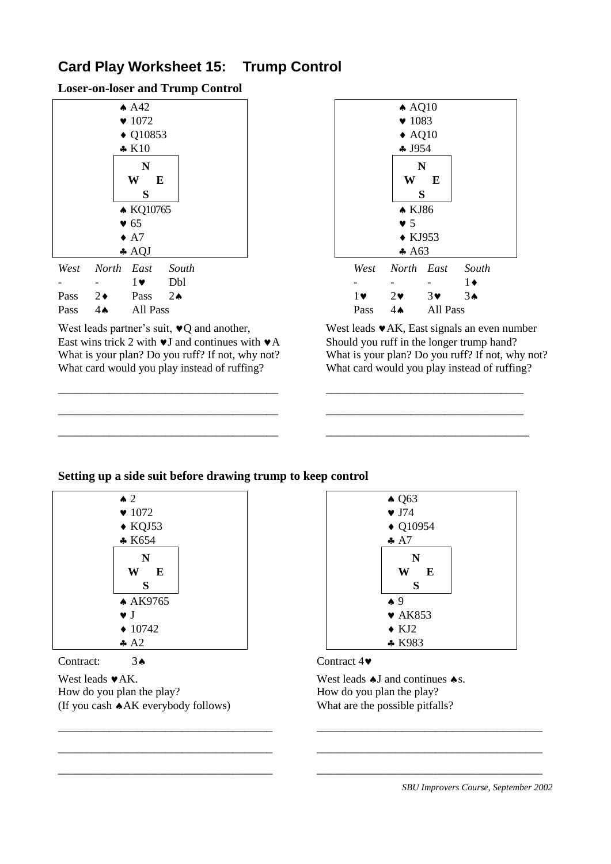# **Card Play Worksheet 15: Trump Control**

**Loser-on-loser and Trump Control**

|      |                             | AA2                   |               |                           |  |                  | $\triangle$ AQ10  |                       |                |
|------|-----------------------------|-----------------------|---------------|---------------------------|--|------------------|-------------------|-----------------------|----------------|
|      | $\blacktriangledown$ 1072   |                       |               | $\blacktriangledown$ 1083 |  |                  |                   |                       |                |
|      | $\triangle$ Q10853          |                       |               |                           |  | $\triangle$ AQ10 |                   |                       |                |
|      | $\clubsuit$ K <sub>10</sub> |                       |               |                           |  | 4J954            |                   |                       |                |
|      |                             | N                     |               |                           |  |                  |                   | N                     |                |
|      |                             | W<br>E                |               |                           |  |                  | W                 | E                     |                |
|      |                             | S                     |               |                           |  |                  |                   | S                     |                |
|      |                             | • KQ10765             |               |                           |  |                  | $\triangle$ KJ86  |                       |                |
|      |                             | $\bullet$ 65          |               |                           |  |                  | $\bullet$ 5       |                       |                |
|      |                             | $\triangle$ A7        |               |                           |  |                  | $\triangle$ KJ953 |                       |                |
|      |                             | AQJ                   |               |                           |  |                  | A63               |                       |                |
| West |                             | North East            | South         |                           |  | West             | North East        |                       | Sol            |
|      |                             | $1\blacktriangledown$ | Dbl           |                           |  |                  |                   |                       | $1\bullet$     |
| Pass | $2\bullet$                  | Pass                  | $2\spadesuit$ |                           |  | $1 \vee$         | $2\bullet$        | $3\blacktriangledown$ | 3 <sub>•</sub> |
| Pass | $4 \spadesuit$              | All Pass              |               |                           |  | Pass             | $4 \spadesuit$    | All Pass              |                |

East wins trick 2 with  $\blacktriangleright$  J and continues with  $\blacktriangleright$  A Should you ruff in the longer trump hand?<br>What is your plan? Do you ruff? If not, why not?<br>What is your plan? Do you ruff? If not, why not? What is your plan? Do you ruff? If not, why not? What card would you play instead of ruffing? What card would you play instead of ruffing?



West leads partner's suit,  $\vee Q$  and another, West leads  $\vee AK$ , East signals an even number

### **Setting up a side suit before drawing trump to keep control**

\_\_\_\_\_\_\_\_\_\_\_\_\_\_\_\_\_\_\_\_\_\_\_\_\_\_\_\_\_\_\_\_\_\_\_\_\_\_\_ \_\_\_\_\_\_\_\_\_\_\_\_\_\_\_\_\_\_\_\_\_\_\_\_\_\_\_\_\_\_\_\_\_\_\_

\_\_\_\_\_\_\_\_\_\_\_\_\_\_\_\_\_\_\_\_\_\_\_\_\_\_\_\_\_\_\_\_\_\_\_\_\_\_\_ \_\_\_\_\_\_\_\_\_\_\_\_\_\_\_\_\_\_\_\_\_\_\_\_\_\_\_\_\_\_\_\_\_\_\_

\_\_\_\_\_\_\_\_\_\_\_\_\_\_\_\_\_\_\_\_\_\_\_\_\_\_\_\_\_\_\_\_\_\_\_\_\_\_\_ \_\_\_\_\_\_\_\_\_\_\_\_\_\_\_\_\_\_\_\_\_\_\_\_\_\_\_\_\_\_\_\_\_\_\_\_



How do you plan the play? How do you plan the play? (If you cash AK everybody follows) What are the possible pitfalls?



\_\_\_\_\_\_\_\_\_\_\_\_\_\_\_\_\_\_\_\_\_\_\_\_\_\_\_\_\_\_\_\_\_\_\_\_\_\_ \_\_\_\_\_\_\_\_\_\_\_\_\_\_\_\_\_\_\_\_\_\_\_\_\_\_\_\_\_\_\_\_\_\_\_\_\_\_\_\_

\_\_\_\_\_\_\_\_\_\_\_\_\_\_\_\_\_\_\_\_\_\_\_\_\_\_\_\_\_\_\_\_\_\_\_\_\_\_ \_\_\_\_\_\_\_\_\_\_\_\_\_\_\_\_\_\_\_\_\_\_\_\_\_\_\_\_\_\_\_\_\_\_\_\_\_\_\_\_

\_\_\_\_\_\_\_\_\_\_\_\_\_\_\_\_\_\_\_\_\_\_\_\_\_\_\_\_\_\_\_\_\_\_\_\_\_\_ \_\_\_\_\_\_\_\_\_\_\_\_\_\_\_\_\_\_\_\_\_\_\_\_\_\_\_\_\_\_\_\_\_\_\_\_\_\_\_\_

West leads  $\blacktriangleright$  AK. West leads  $\blacklozenge$  J and continues  $\blacklozenge$  s.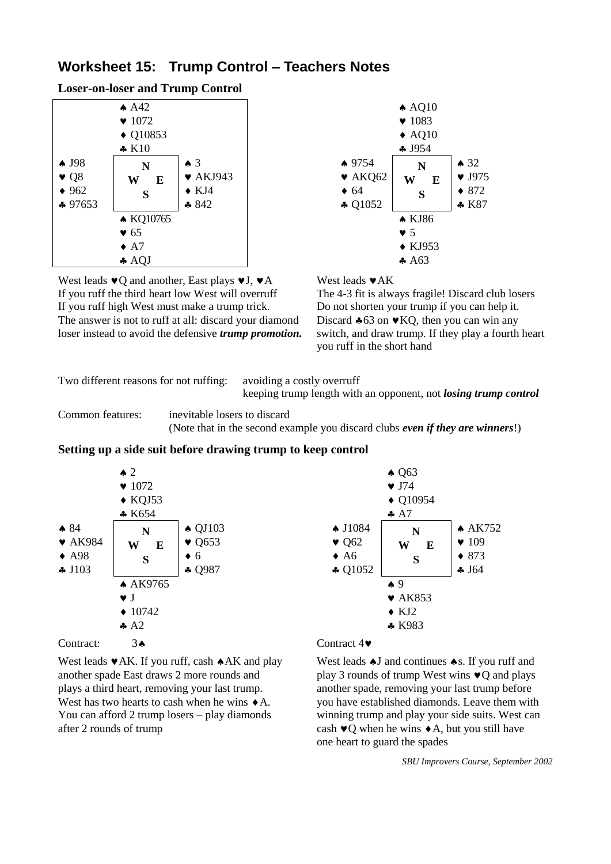### **Worksheet 15: Trump Control – Teachers Notes**

**Loser-on-loser and Trump Control**



West leads  $\mathbf{v}$ Q and another, East plays  $\mathbf{v}$ J,  $\mathbf{v}$ A West leads  $\mathbf{v}$ AK If you ruff the third heart low West will overruff The 4-3 fit is always fragile! Discard club losers If you ruff high West must make a trump trick. Do not shorten your trump if you can help it. The answer is not to ruff at all: discard your diamond Discard  $\clubsuit$  63 on  $\blacktriangledown$  KO, then you can win any loser instead to avoid the defensive *trump promotion.* switch, and draw trump. If they play a fourth heart



you ruff in the short hand

Two different reasons for not ruffing: avoiding a costly overruff

keeping trump length with an opponent, not *losing trump control*

Common features: inevitable losers to discard (Note that in the second example you discard clubs *even if they are winners*!)

### **Setting up a side suit before drawing trump to keep control**



West leads  $\blacktriangleright$  AK. If you ruff, cash  $\blacklozenge$  AK and play West leads  $\blacklozenge$  J and continues  $\blacklozenge$  s. If you ruff and another spade East draws 2 more rounds and play 3 rounds of trump West wins  $\vee$ Q and plays plays a third heart, removing your last trump. another spade, removing your last trump before after 2 rounds of trump cash  $\vee$ Q when he wins  $\lozenge$  A, but you still have

West has two hearts to cash when he wins  $\triangle$  A. you have established diamonds. Leave them with You can afford 2 trump losers – play diamonds winning trump and play your side suits. West can one heart to guard the spades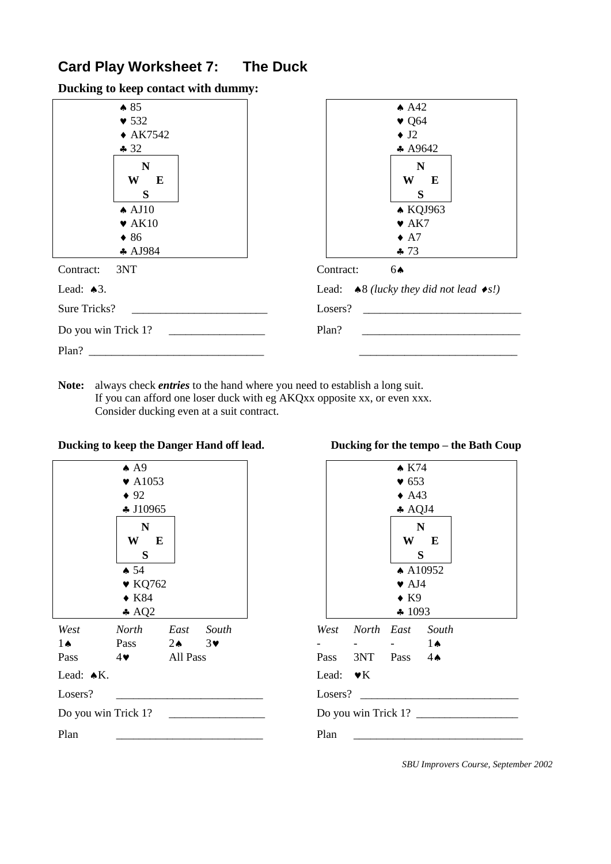# **Card Play Worksheet 7: The Duck**

**Ducking to keep contact with dummy:**



**Note:** always check *entries* to the hand where you need to establish a long suit. If you can afford one loser duck with eg AKQxx opposite xx, or even xxx. Consider ducking even at a suit contract.

| $\triangle$ A9                                      | $\bullet$ K74                         |
|-----------------------------------------------------|---------------------------------------|
| $\blacktriangledown$ A1053                          | $\bullet$ 653                         |
| $\bullet$ 92                                        | $\triangle$ A43                       |
| $\clubsuit$ J10965                                  | $\triangle$ AQJ4                      |
| ${\bf N}$                                           | $\mathbf N$                           |
| W<br>E                                              | W<br>$\mathbf{E}$                     |
| S                                                   | S                                     |
| $\spadesuit$ 54                                     | $\triangle$ A10952                    |
| $\blacktriangledown$ KQ762                          | $\blacktriangleright$ AJ4             |
| $\blacklozenge$ K84                                 | $\bullet$ K9                          |
| $\triangle$ AQ2                                     | $\clubsuit$ 1093                      |
| North<br>East<br>West<br>South                      | North East<br>South<br>West           |
| $3\vee$<br>Pass<br>$2 \spadesuit$<br>$1 \spadesuit$ | $1 \spadesuit$                        |
| All Pass<br>$4\bullet$<br>Pass                      | 3NT<br>Pass<br>Pass<br>$4 \spadesuit$ |
| Lead: $\triangle K$ .                               | Lead: $\blacktriangleright K$         |
| Losers?                                             | Losers?                               |
| Do you win Trick 1?                                 | Do you win Trick 1?                   |
| Plan                                                | Plan                                  |

| Ducking to keep the Danger Hand off lead. | Ducking for the tempo – the Bath Coup |
|-------------------------------------------|---------------------------------------|
|                                           |                                       |

|                               |                       | $\bullet$ K74             |                     |  |
|-------------------------------|-----------------------|---------------------------|---------------------|--|
|                               |                       | $\blacktriangledown 653$  |                     |  |
|                               |                       | $\triangle$ A43           |                     |  |
|                               |                       | $\clubsuit$ AQJ4          |                     |  |
|                               |                       |                           | $\mathbf N$<br>W E  |  |
|                               |                       |                           | S                   |  |
|                               |                       |                           | $\triangle$ A10952  |  |
|                               |                       | $\blacktriangleright$ AJ4 |                     |  |
|                               |                       | $\bullet$ K9              |                     |  |
|                               |                       | $\clubsuit$ 1093          |                     |  |
|                               | West North East South |                           |                     |  |
|                               |                       |                           | $1 \spadesuit$      |  |
|                               | Pass 3NT Pass 44      |                           |                     |  |
| Lead: $\blacktriangleright K$ |                       |                           |                     |  |
| Losers?                       |                       |                           |                     |  |
|                               |                       |                           | Do you win Trick 1? |  |
| Plan                          |                       |                           |                     |  |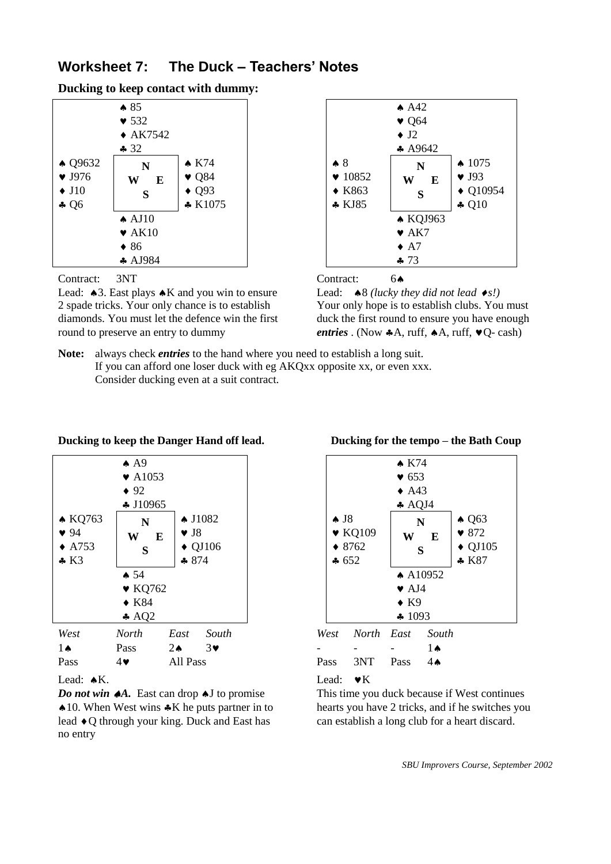### **Worksheet 7: The Duck – Teachers' Notes**

**Ducking to keep contact with dummy:**



Contract: 3NT Contract: 6

Lead:  $\triangle 3$ . East plays  $\triangle K$  and you win to ensure Lead:  $\triangle 8$  *(lucky they did not lead*  $\triangle s$ *!)* 2 spade tricks. Your only chance is to establish Your only hope is to establish clubs. You must diamonds. You must let the defence win the first duck the first round to ensure you have enough round to preserve an entry to dummy *entries* . (Now  $A$ A, ruff,  $A$ A, ruff,  $VQ$ - cash)





**Note:** always check *entries* to the hand where you need to establish a long suit. If you can afford one loser duck with eg AKQxx opposite xx, or even xxx. Consider ducking even at a suit contract.

|                  | $\spadesuit$ A9             |                              |                   |                |                            | $\bullet$ K74             |                    |
|------------------|-----------------------------|------------------------------|-------------------|----------------|----------------------------|---------------------------|--------------------|
|                  | $\blacktriangleright$ A1053 |                              |                   |                |                            | $\bullet$ 653             |                    |
|                  | $\bullet$ 92                |                              |                   |                |                            | $\triangle$ A43           |                    |
|                  | $\clubsuit$ J10965          |                              |                   |                |                            | $\clubsuit$ AQJ4          |                    |
| <b>★ KQ763</b>   | N                           |                              | $\triangle$ J1082 | $\clubsuit$ J8 |                            |                           | N                  |
| 94               | W                           | $\blacktriangledown$ J8<br>E |                   |                | $\blacktriangledown$ KQ109 | W                         | E                  |
| $\triangle$ A753 | S                           |                              | $\triangle$ QJ106 |                | $*8762$                    |                           | S                  |
| $\clubsuit$ K3   |                             | \$874                        |                   |                | $\clubsuit$ 652            |                           |                    |
|                  | $\spadesuit$ 54             |                              |                   |                |                            |                           | $\triangle$ A10952 |
|                  | $\blacktriangledown$ KQ762  |                              |                   |                |                            | $\blacktriangleright$ AJ4 |                    |
|                  | $\triangle$ K84             |                              |                   |                |                            | $\bullet$ K9              |                    |
|                  | $\triangle$ AQ2             |                              |                   |                |                            | 41093                     |                    |
| West             | <b>North</b>                | East                         | South             | West           | North East                 |                           | South              |
| $1\spadesuit$    | Pass                        | $2 \spadesuit$               | $3\bullet$        |                |                            |                           | $1 \spadesuit$     |
| Pass             | 4♥                          | All Pass                     |                   | Pass           | 3NT                        | Pass                      | $4\spadesuit$      |

**Ducking to keep the Danger Hand off lead. Ducking for the tempo – the Bath Coup**

*Do not win*  $\triangle A$ . East can drop  $\triangle A$  to promise This time you duck because if West continues  $\triangle$  10. When West wins  $\triangle K$  he puts partner in to hearts you have 2 tricks, and if he switches you lead  $\triangle$ Q through your king. Duck and East has can establish a long club for a heart discard. no entry

|                             | $\star$ K74        |                   |
|-----------------------------|--------------------|-------------------|
|                             | $\bullet$ 653      |                   |
|                             | $\triangle$ A43    |                   |
|                             | $\clubsuit$ AQJ4   |                   |
| $\clubsuit$ J8              | N                  | $\triangle$ Q63   |
| $\blacktriangleright$ KQ109 | E<br>W             | $\bullet$ 872     |
| $*8762$                     | S                  | $\triangle$ QJ105 |
| 4652                        |                    | $* K87$           |
|                             | $\triangle$ A10952 |                   |
|                             | $\bullet$ AJ4      |                   |
|                             | $\bullet$ K9       |                   |
|                             | 41093              |                   |

| West North East South    |    |
|--------------------------|----|
|                          | 1▲ |
| Pass 3NT Pass $4\bullet$ |    |

Lead:  $\blacktriangleright K$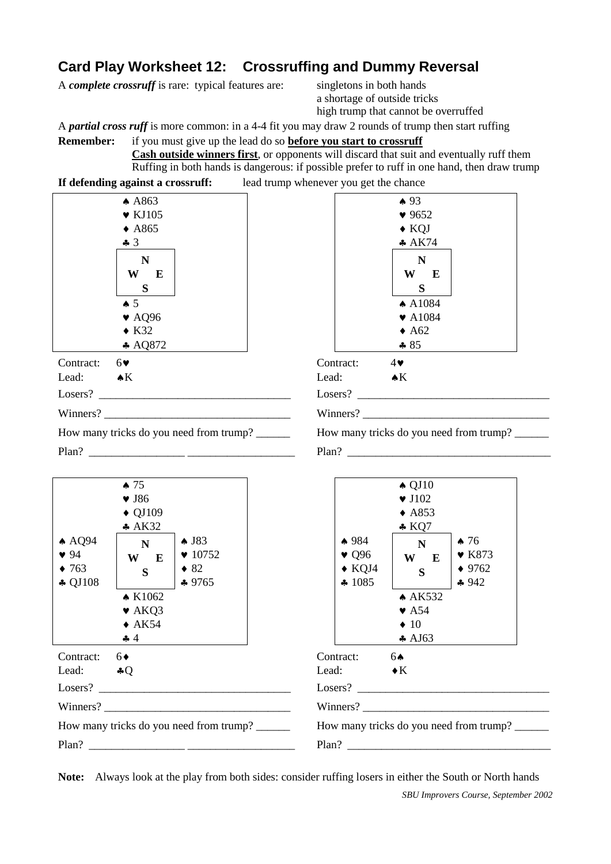# **Card Play Worksheet 12: Crossruffing and Dummy Reversal**

A *complete crossruff* is rare: typical features are: singletons in both hands

a shortage of outside tricks high trump that cannot be overruffed

A *partial cross ruff* is more common: in a 4-4 fit you may draw 2 rounds of trump then start ruffing

**Remember:** if you must give up the lead do so **before you start to crossruff Cash outside winners first**, or opponents will discard that suit and eventually ruff them Ruffing in both hands is dangerous: if possible prefer to ruff in one hand, then draw trump

**If defending against a crossruff:** lead trump whenever you get the chance

|                                 | A863                                                                                           |                    |               |
|---------------------------------|------------------------------------------------------------------------------------------------|--------------------|---------------|
|                                 | $\blacktriangledown$ KJ105                                                                     |                    |               |
|                                 | $\triangle$ A865                                                                               |                    |               |
|                                 | $-3$                                                                                           |                    |               |
|                                 | N<br>W<br>E<br>S<br>$\clubsuit$ 5<br>$\blacktriangledown$ AQ96<br>$\triangle$ K32<br>$A$ AQ872 |                    |               |
| Contract: $6\blacktriangledown$ |                                                                                                | Contract:          | $4\bullet$    |
| Lead: $\bullet K$               |                                                                                                | Lead:              | $\triangle K$ |
|                                 |                                                                                                | Losers?            |               |
|                                 | Winners?                                                                                       | Winners?           |               |
|                                 | How many tricks do you need from trump?                                                        | How many tricks do |               |

| $\triangle$ A863                                                                                        | $\spadesuit$ 93                                                                                                  |
|---------------------------------------------------------------------------------------------------------|------------------------------------------------------------------------------------------------------------------|
| $\blacktriangledown$ KJ105                                                                              | 9652                                                                                                             |
| $\triangle$ A865                                                                                        | $\blacklozenge$ KQJ                                                                                              |
| 43                                                                                                      | A K74                                                                                                            |
| N<br>W<br>E<br>S<br>$\spadesuit 5$<br>$\blacktriangledown$ AQ96<br>$\triangle$ K32<br>$\triangle$ AQ872 | $\mathbf N$<br>W E<br>S<br>$\spadesuit$ A1084<br>$\blacktriangledown$ A1084<br>$\triangle$ A62<br>$\clubsuit 85$ |
| Contract:<br>$6\blacktriangledown$                                                                      | Contract:<br>$4\blacktriangledown$                                                                               |
| Lead: $\bullet K$                                                                                       | Lead:<br>$\triangle K$                                                                                           |
|                                                                                                         |                                                                                                                  |
|                                                                                                         |                                                                                                                  |
| How many tricks do you need from trump?                                                                 | How many tricks do you need from trump?                                                                          |
| Plan?                                                                                                   | Plan?                                                                                                            |



**Note:** Always look at the play from both sides: consider ruffing losers in either the South or North hands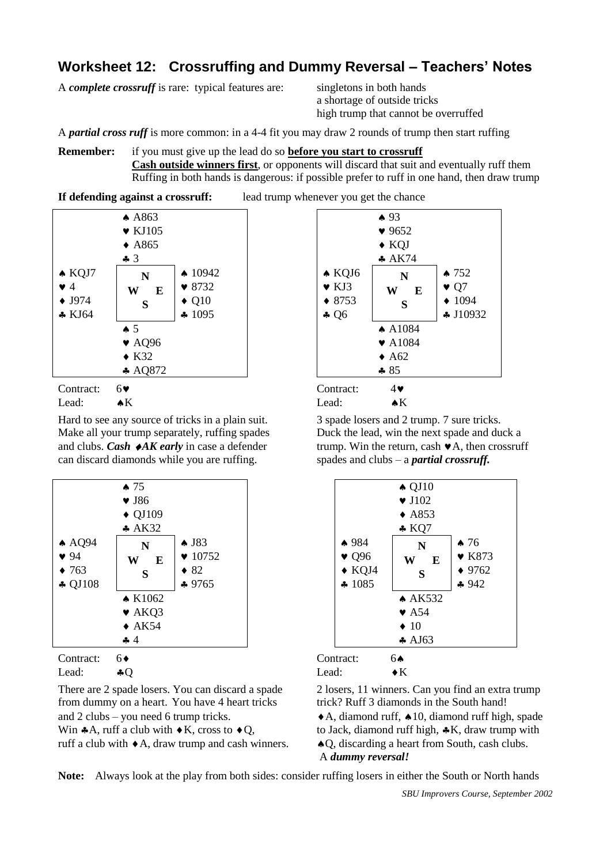### **Worksheet 12: Crossruffing and Dummy Reversal – Teachers' Notes**

A *complete crossruff* is rare: typical features are: singletons in both hands

a shortage of outside tricks high trump that cannot be overruffed

A *partial cross ruff* is more common: in a 4-4 fit you may draw 2 rounds of trump then start ruffing

**Remember:** if you must give up the lead do so **before you start to crossruff Cash outside winners first**, or opponents will discard that suit and eventually ruff them Ruffing in both hands is dangerous: if possible prefer to ruff in one hand, then draw trump

**If defending against a crossruff:** lead trump whenever you get the chance



Hard to see any source of tricks in a plain suit. 3 spade losers and 2 trump. 7 sure tricks. Make all your trump separately, ruffing spades Duck the lead, win the next spade and duck a and clubs. *Cash*  $\blacktriangle$ *AK early* in case a defender trump. Win the return, cash  $\blacktriangleright$  A, then crossruff can discard diamonds while you are ruffing. spades and clubs – a *partial crossruff.*



from dummy on a heart. You have 4 heart tricks trick? Ruff 3 diamonds in the South hand! and 2 clubs – you need 6 trump tricks.  $\blacklozenge$  A, diamond ruff,  $\blacklozenge$  10, diamond ruff high, spade Win  $\clubsuit$ A, ruff a club with  $\clubsuit$ K, cross to  $\clubsuit$ O, to Jack, diamond ruff high,  $\clubsuit$ K, draw trump with

ruff a club with  $\triangle A$ , draw trump and cash winners.  $\triangle A$ Q, discarding a heart from South, cash clubs.



|                                                    | $\triangle$ QJ10<br>$\blacktriangledown$ J102 |                                                                    |
|----------------------------------------------------|-----------------------------------------------|--------------------------------------------------------------------|
|                                                    | $\triangle$ A853<br>$*$ KQ7                   |                                                                    |
| $*984$<br>$\bullet$ Q96<br>$\bullet$ KQJ4<br>41085 | N<br>E<br>W<br>S                              | $\clubsuit$ 76<br>$\blacktriangleright$ K873<br>$* 9762$<br>$-942$ |
|                                                    | $\triangle$ AK532                             |                                                                    |
|                                                    | $\blacktriangleright$ A54                     |                                                                    |
|                                                    | $\bullet$ 10                                  |                                                                    |
|                                                    | $\clubsuit$ AJ63                              |                                                                    |

Contract: 6 Contract: 6 Contract: 6 Contract: 6 Contract: 6 Contract: 6 Contract: 6 Contract: 6 Contract: 6 Contract: 6 Contract: 6 Contract: 6 Contract: 6 Contract: 6 Contract: 6 Contract: 6 Contract: 6 Contract: 6 Contra Lead:  $\clubsuit Q$  Lead:  $\blacklozenge$  K

There are 2 spade losers. You can discard a spade 2 losers, 11 winners. Can you find an extra trump

A *dummy reversal!*

**Note:** Always look at the play from both sides: consider ruffing losers in either the South or North hands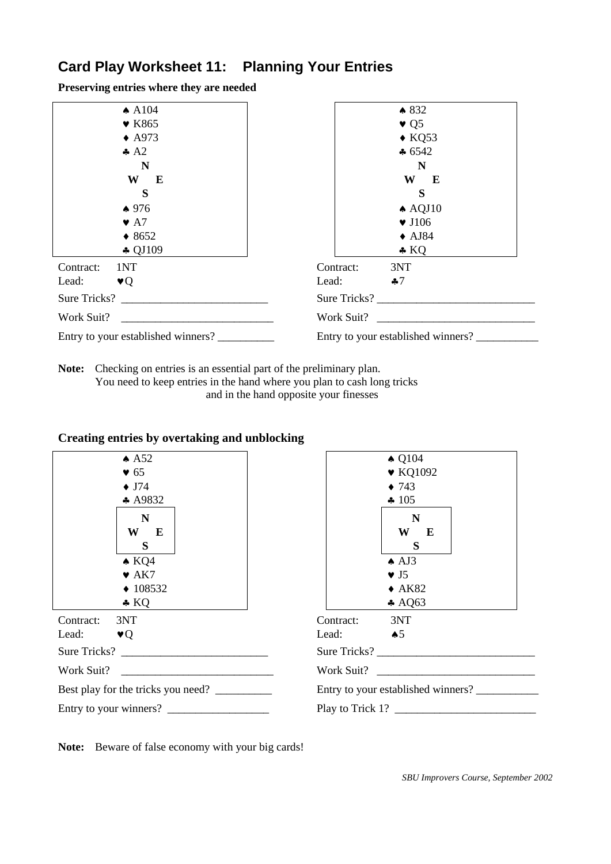# **Card Play Worksheet 11: Planning Your Entries**

**Preserving entries where they are needed**

| $\triangle$ A104                   | $*832$                             |
|------------------------------------|------------------------------------|
| $\blacktriangledown$ K865          | $\bullet$ Q <sub>5</sub>           |
| $\triangle$ A973                   | $\triangle$ KQ53                   |
| $\clubsuit$ A2                     | $\clubsuit 6542$                   |
| N                                  | N                                  |
| W<br>$\mathbf{E}$                  | W<br>E                             |
| S                                  | S                                  |
| $*976$                             | $\triangle$ AQJ10                  |
| $\blacktriangleright$ A7           | $\blacktriangledown$ J106          |
| $*8652$                            | $\triangle$ AJ84                   |
| $\clubsuit$ QJ109                  | $\triangle$ KQ                     |
| 1NT<br>Contract:                   | 3NT<br>Contract:                   |
| Lead:<br>$\mathbf{v}(\mathbf{r})$  | $\clubsuit 7$<br>Lead:             |
| Sure Tricks?                       | Sure Tricks?                       |
| Work Suit?                         | Work Suit?                         |
| Entry to your established winners? | Entry to your established winners? |

**Note:** Checking on entries is an essential part of the preliminary plan. You need to keep entries in the hand where you plan to cash long tricks and in the hand opposite your finesses

| A 52                                                                                             | $\triangle$ Q104                                                               |
|--------------------------------------------------------------------------------------------------|--------------------------------------------------------------------------------|
| $\bullet$ 65                                                                                     | $\blacktriangledown$ KQ1092                                                    |
| $\bullet$ J74                                                                                    | $\bullet$ 743                                                                  |
| * A9832                                                                                          | $\clubsuit$ 105                                                                |
| $\mathbf N$<br>W<br>E<br>S<br>$\triangle$ KQ4<br>$\blacktriangleright$ AK7<br>$\triangle$ 108532 | $\mathbf N$<br>W<br>E<br>S<br>$\triangle$ AJ3<br>$\vee$ J5<br>$\triangle$ AK82 |
| $\triangle$ KQ                                                                                   | $\clubsuit$ AQ63                                                               |
| 3NT<br>Contract:                                                                                 | 3NT<br>Contract:                                                               |
| Lead:<br>$\blacktriangledown$                                                                    | $\clubsuit 5$<br>Lead:                                                         |
| Sure Tricks?                                                                                     | Sure Tricks?                                                                   |
|                                                                                                  | Work Suit?                                                                     |
| Best play for the tricks you need?                                                               | Entry to your established winners?                                             |
| Entry to your winners?                                                                           | Play to Trick 1? $\qquad \qquad$                                               |

### **Creating entries by overtaking and unblocking**

**Note:** Beware of false economy with your big cards!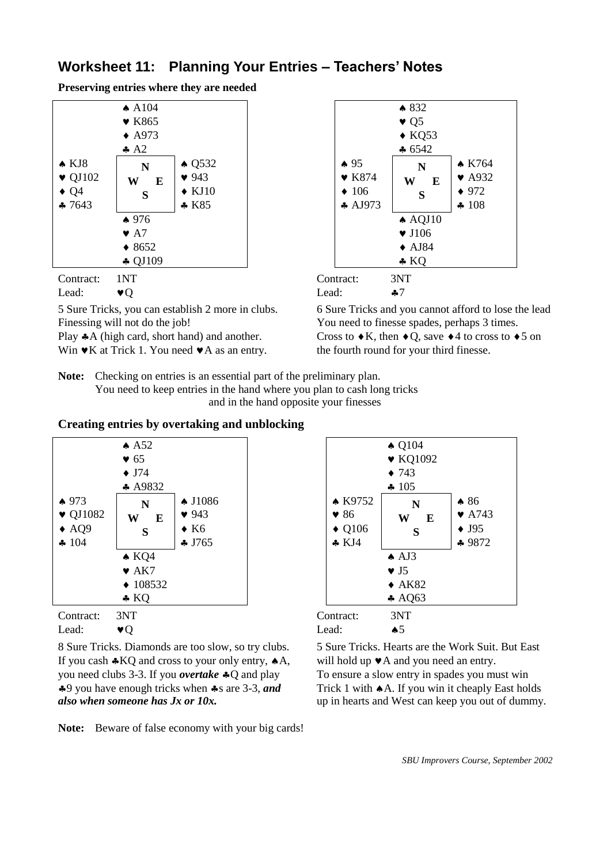# **Worksheet 11: Planning Your Entries – Teachers' Notes**

**Preserving entries where they are needed**



Finessing will not do the job! You need to finesse spades, perhaps 3 times.

- 
- Win  $\mathbf{\Psi}$  K at Trick 1. You need  $\mathbf{\Psi}$  A as an entry. the fourth round for your third finesse.



5 Sure Tricks, you can establish 2 more in clubs. 6 Sure Tricks and you cannot afford to lose the lead Play  $A$  (high card, short hand) and another. Cross to  $\bullet K$ , then  $\bullet O$ , save  $\bullet 4$  to cross to  $\bullet 5$  on

**Note:** Checking on entries is an essential part of the preliminary plan. You need to keep entries in the hand where you plan to cash long tricks and in the hand opposite your finesses

### **Creating entries by overtaking and unblocking**



8 Sure Tricks. Diamonds are too slow, so try clubs. 5 Sure Tricks. Hearts are the Work Suit. But East If you cash  $*KQ$  and cross to your only entry,  $*A$ , will hold up  $*A$  and you need an entry. you need clubs 3-3. If you *overtake*  $\clubsuit$  O and play To ensure a slow entry in spades you must win 9 you have enough tricks when s are 3-3, *and* Trick 1 with A. If you win it cheaply East holds *also when someone has Jx or 10x.* up in hearts and West can keep you out of dummy.



| Contract: | 3N I           | Contract: | ЭN             |
|-----------|----------------|-----------|----------------|
| Lead:     | $\mathbf{v}$ O | Lead:     | $\spadesuit 5$ |

**Note:** Beware of false economy with your big cards!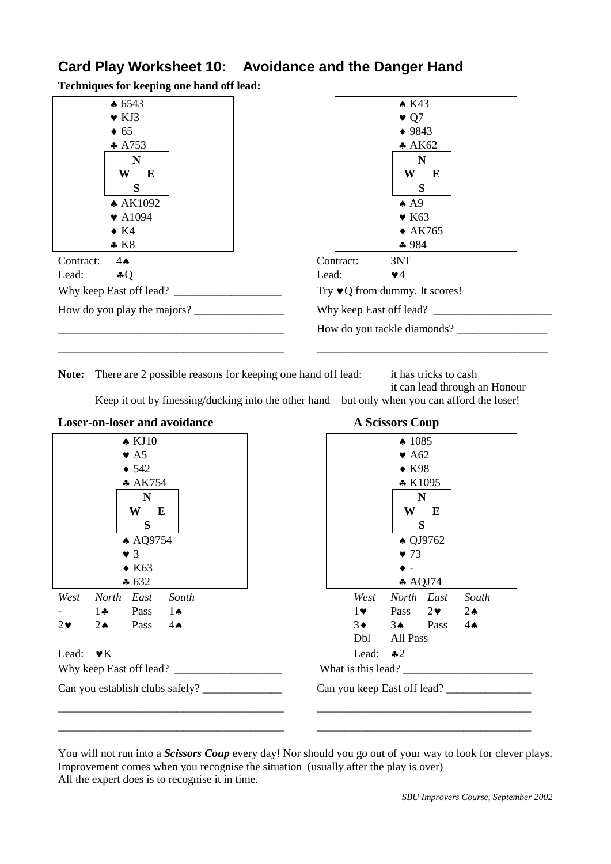# **Card Play Worksheet 10: Avoidance and the Danger Hand**

**Techniques for keeping one hand off lead:**



**Note:** There are 2 possible reasons for keeping one hand off lead: it has tricks to cash

it can lead through an Honour

Keep it out by finessing/ducking into the other hand – but only when you can afford the loser!



You will not run into a *Scissors Coup* every day! Nor should you go out of your way to look for clever plays. Improvement comes when you recognise the situation (usually after the play is over) All the expert does is to recognise it in time.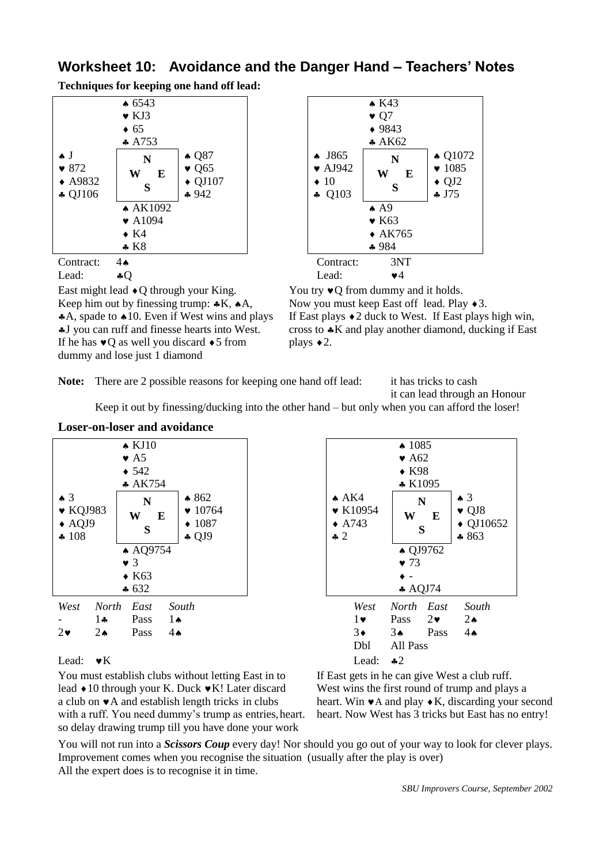# **Worksheet 10: Avoidance and the Danger Hand – Teachers' Notes**

**Techniques for keeping one hand off lead:**



East might lead  $\bullet$  O through your King. You try  $\bullet$  O from dummy and it holds. Keep him out by finessing trump:  $*K$ ,  $*A$ , Now you must keep East off lead. Play  $*3$ . If he has  $\sqrt{\frac{90 \text{ s}}{2}}$  as well you discard  $\sqrt{5}$  from plays  $\sqrt{2}$ . dummy and lose just 1 diamond

**Loser-on-loser and avoidance**



A, spade to  $\triangle 10$ . Even if West wins and plays If East plays  $\triangle 2$  duck to West. If East plays high win,  $\clubsuit$  J you can ruff and finesse hearts into West. cross to  $\clubsuit K$  and play another diamond, ducking if East

Note: There are 2 possible reasons for keeping one hand off lead: it has tricks to cash

it can lead through an Honour

Keep it out by finessing/ducking into the other hand – but only when you can afford the loser!

| $\bullet$ 3<br>$\bullet$ KQJ983<br>$\triangle$ AQJ9<br>4108 |                | $\triangle$ KJ10<br>$\bullet$ A5<br>$\div$ 542<br>$* AK754$<br>$\mathbf N$<br>W<br>E<br>S<br>▲ AQ9754<br>$\bullet$ 3<br>$\triangle$ K63 | $*862$<br>$\bullet$ 10764<br>$\div 1087$<br>$\clubsuit$ QJ9 | A K4<br>$\bullet$ K10954<br>$\triangle$ A743<br>$\div 2$ | $\spadesuit$ 1085<br>$\blacktriangleright$ A62<br>$\bullet$ K98<br>$\star$ K1095<br>W<br>S<br>$\bullet$ 73<br>$\bullet$ - | N<br>E<br>$\triangle$ QJ9762 | $\triangle$ 3<br>$\bullet$ QJ8<br>$\triangle$ QJ10652<br>$*863$ |
|-------------------------------------------------------------|----------------|-----------------------------------------------------------------------------------------------------------------------------------------|-------------------------------------------------------------|----------------------------------------------------------|---------------------------------------------------------------------------------------------------------------------------|------------------------------|-----------------------------------------------------------------|
|                                                             |                | $\clubsuit 632$                                                                                                                         |                                                             |                                                          | $\triangle$ AQJ74                                                                                                         |                              |                                                                 |
| West                                                        | North          | East                                                                                                                                    | South                                                       | West                                                     | North East                                                                                                                |                              | South                                                           |
|                                                             | $1 -$          | Pass                                                                                                                                    | $1 \spadesuit$                                              | $1\bullet$                                               | Pass                                                                                                                      | $2\bullet$                   | $2\bullet$                                                      |
| $2\bullet$                                                  | $2\bullet$     | Pass                                                                                                                                    | $4\spadesuit$                                               | $3\bullet$<br>Dbl                                        | $3\bullet$<br>All Pass                                                                                                    | Pass                         | $4\spadesuit$                                                   |
| Lead:                                                       | $\mathbf{v}$ K |                                                                                                                                         |                                                             | Lead:                                                    | $\clubsuit 2$                                                                                                             |                              |                                                                 |

You must establish clubs without letting East in to If East gets in he can give West a club ruff. lead  $\triangle$  10 through your K. Duck  $\triangledown K!$  Later discard West wins the first round of trump and plays a a club on  $\mathbf{v}$ A and establish length tricks in clubs heart. Win  $\mathbf{v}$ A and play  $\mathbf{v}$ K, discarding your second with a ruff. You need dummy's trump as entries, heart. heart. Now West has 3 tricks but East has no entry! so delay drawing trump till you have done your work

You will not run into a *Scissors Coup* every day! Nor should you go out of your way to look for clever plays. Improvement comes when you recognise the situation (usually after the play is over) All the expert does is to recognise it in time.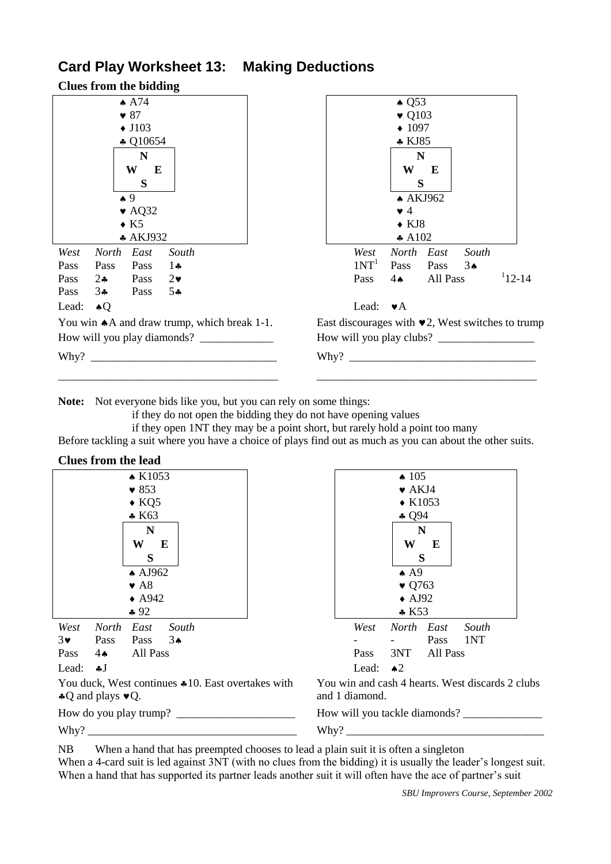# **Card Play Worksheet 13: Making Deductions**

|                      | <b>Clues from the bidding</b> |                            |                                                        |  |  |  |                  |                    |          |               |                                                        |
|----------------------|-------------------------------|----------------------------|--------------------------------------------------------|--|--|--|------------------|--------------------|----------|---------------|--------------------------------------------------------|
|                      |                               | $\spadesuit$ A74           |                                                        |  |  |  |                  | $\triangle$ Q53    |          |               |                                                        |
| $\bullet$ 87         |                               |                            |                                                        |  |  |  |                  | $\bullet$ Q103     |          |               |                                                        |
| $\blacklozenge$ J103 |                               |                            |                                                        |  |  |  |                  | $\div 1097$        |          |               |                                                        |
|                      |                               | $\clubsuit$ Q10654         |                                                        |  |  |  |                  | $\bullet$ KJ85     |          |               |                                                        |
|                      |                               | N                          |                                                        |  |  |  |                  | $\mathbf N$        |          |               |                                                        |
|                      |                               | W<br>E                     |                                                        |  |  |  |                  | W                  | E        |               |                                                        |
|                      |                               | S                          |                                                        |  |  |  |                  | S                  |          |               |                                                        |
|                      |                               | $\bullet$ 9                |                                                        |  |  |  |                  | $\triangle$ AKJ962 |          |               |                                                        |
|                      |                               | $\blacktriangleright$ AQ32 |                                                        |  |  |  |                  | $\bullet$ 4        |          |               |                                                        |
|                      |                               | $\bullet$ K5               |                                                        |  |  |  |                  | $\bullet$ KJ8      |          |               |                                                        |
|                      |                               | * AKJ932                   |                                                        |  |  |  |                  | $\ast$ A102        |          |               |                                                        |
| West                 | North East                    |                            | South                                                  |  |  |  | West             | North East         |          | South         |                                                        |
| Pass                 | Pass                          | Pass                       | $1 -$                                                  |  |  |  | 1NT <sup>1</sup> | Pass               | Pass     | $3\spadesuit$ |                                                        |
| Pass                 | $2\bullet$                    | Pass                       | $2\bullet$                                             |  |  |  | Pass             | $4 \spadesuit$     | All Pass |               | $12 - 14$                                              |
| Pass                 | $3\bullet$                    | Pass                       | $5 -$                                                  |  |  |  |                  |                    |          |               |                                                        |
| Lead:                | $\triangle Q$                 |                            |                                                        |  |  |  | Lead:            | $\bullet$ A        |          |               |                                                        |
|                      |                               |                            | You win $\triangle$ A and draw trump, which break 1-1. |  |  |  |                  |                    |          |               | East discourages with $\vee$ 2, West switches to trump |
|                      |                               |                            |                                                        |  |  |  |                  |                    |          |               | How will you play clubs?                               |
|                      |                               |                            |                                                        |  |  |  |                  |                    |          |               | Why?                                                   |
|                      |                               |                            |                                                        |  |  |  |                  |                    |          |               |                                                        |

**Note:** Not everyone bids like you, but you can rely on some things:

if they do not open the bidding they do not have opening values

if they open 1NT they may be a point short, but rarely hold a point too many

Before tackling a suit where you have a choice of plays find out as much as you can about the other suits.

| <b>Clues from the lead</b>                           |                                                  |
|------------------------------------------------------|--------------------------------------------------|
| $\triangle$ K1053                                    | $\spadesuit$ 105                                 |
| $\bullet$ 853                                        | $\blacktriangleright$ AKJ4                       |
| $\bullet$ KQ5                                        | $\triangle$ K1053                                |
| $* K63$                                              | $\clubsuit$ Q94                                  |
| N                                                    | N                                                |
| W<br>$\bf{E}$                                        | W<br>E                                           |
| S                                                    | S                                                |
| $\triangle$ AJ962                                    | $\triangle$ A9                                   |
| $\blacktriangleright$ A8                             | $\bullet$ Q763                                   |
| $\triangle$ A942                                     | $\triangle$ AJ92                                 |
| $*92$                                                | $\star$ K53                                      |
| South<br>West<br>North East                          | North East<br>South<br>West                      |
| $3\bullet$<br>$3*$<br>Pass<br>Pass                   | Pass<br>1NT                                      |
| All Pass<br>Pass<br>$4 \spadesuit$                   | 3NT<br>All Pass<br>Pass                          |
| Lead: $\clubsuit J$                                  | Lead:<br>$\triangle^2$                           |
| You duck, West continues $*10$ . East overtakes with | You win and cash 4 hearts. West discards 2 clubs |
| $\triangle Q$ and plays $\triangledown Q$ .          | and 1 diamond.                                   |
| How do you play trump?                               |                                                  |
| $Why?$ $\_\$                                         | Why?                                             |

NB When a hand that has preempted chooses to lead a plain suit it is often a singleton When a 4-card suit is led against  $3NT$  (with no clues from the bidding) it is usually the leader's longest suit. When a hand that has supported its partner leads another suit it will often have the ace of partner's suit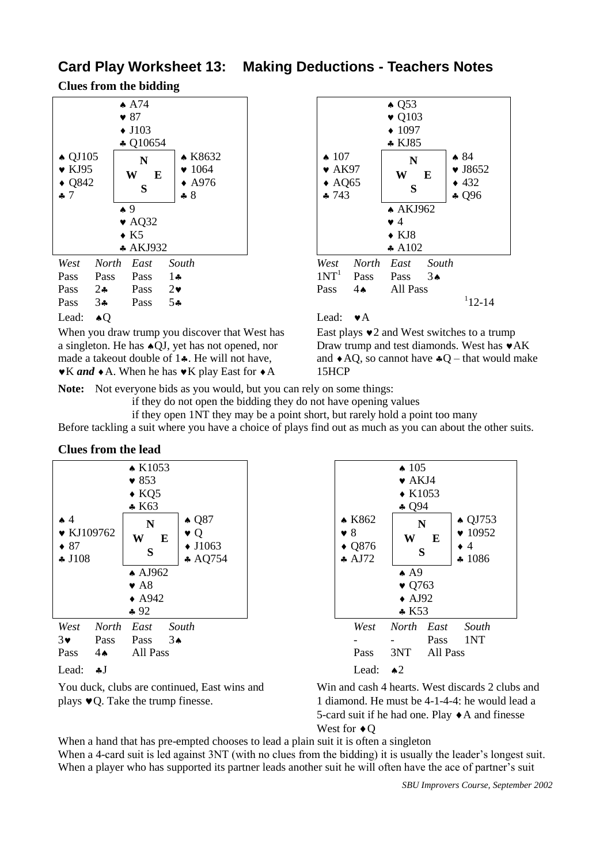# **Card Play Worksheet 13: Making Deductions - Teachers Notes**

**Clues from the bidding**



When you draw trump you discover that West has East plays  $\bullet$  2 and West switches to a trump a singleton. He has  $\triangle$ OJ, yet has not opened, nor Draw trump and test diamonds. West has  $\triangledown$ AK made a takeout double of 1.. He will not have, and  $\triangle AQ$ , so cannot have  $\triangle Q$  – that would make  $\mathbf{\bullet}$ K *and*  $\mathbf{\bullet}$  A. When he has  $\mathbf{\bullet}$ K play East for  $\mathbf{\bullet}$ A 15HCP



**Note:** Not everyone bids as you would, but you can rely on some things:

if they do not open the bidding they do not have opening values

if they open 1NT they may be a point short, but rarely hold a point too many Before tackling a suit where you have a choice of plays find out as much as you can about the other suits.

#### **Clues from the lead**

|                                      | $\triangle$ K1053          |                                 | $\triangle$ 105  |          |                                             |  |  |
|--------------------------------------|----------------------------|---------------------------------|------------------|----------|---------------------------------------------|--|--|
| $\bullet$ 853<br>$\bullet$ KQ5       |                            | $\blacktriangleright$ AKJ4      |                  |          |                                             |  |  |
|                                      |                            | $\triangle$ K1053               |                  |          |                                             |  |  |
|                                      | $* K63$                    |                                 | $\clubsuit$ Q94  |          |                                             |  |  |
| $\spadesuit$ 4<br>$\bullet$ KJ109762 | $\triangle$ Q87<br>N       | $\triangle$ K862<br>$\bullet$ 8 |                  | N        | $\triangle$ QJ7<br>$\blacktriangledown 109$ |  |  |
|                                      | $\bullet$ Q<br>W<br>E      |                                 | W                | E        |                                             |  |  |
| $\bullet$ 87                         | $\blacklozenge$ J1063<br>S | $\bullet$ Q876                  |                  | S        | $\bullet$ 4                                 |  |  |
| $\clubsuit$ J108                     | $\ast$ AQ754               | $\clubsuit$ AJ72                |                  |          | 4108                                        |  |  |
|                                      | $\triangle$ AJ962          |                                 | $\triangle$ A9   |          |                                             |  |  |
|                                      | $\blacktriangleright$ A8   |                                 | $\bullet$ Q763   |          |                                             |  |  |
|                                      | $\triangle$ A942           |                                 | $\triangle$ AJ92 |          |                                             |  |  |
|                                      | $*92$                      |                                 | $*$ K53          |          |                                             |  |  |
| West<br><b>North</b>                 | East<br>South              | West                            | North East       |          | Sout                                        |  |  |
| $3\bullet$<br>Pass                   | Pass<br>$3\spadesuit$      |                                 |                  | Pass     | 1NT                                         |  |  |
| Pass<br>$4\spadesuit$                | All Pass                   | Pass                            | 3NT              | All Pass |                                             |  |  |
| Lead:<br>$\clubsuit J$               |                            | Lead:                           | $\triangle^2$    |          |                                             |  |  |

 $\spadesuit$  105  $\blacktriangleright$  AKJ4  $\triangle$  K1053  $$094$ **\* K862**  8  $\triangle$  O876  $A<sub>172</sub>$ **N W E S**  $\triangle$  QJ753  $\bullet$  10952  $\bullet$  4  $41086$  $\spadesuit$  A9  $\bullet$  Q763  $\triangle$  AJ92  $K53$ *West North East South West North East South*

You duck, clubs are continued, East wins and Win and cash 4 hearts. West discards 2 clubs and plays  $\blacktriangleright$  Q. Take the trump finesse. 1 diamond. He must be 4-1-4-4: he would lead a 5-card suit if he had one. Play  $\triangle$  A and finesse West for  $\triangleleft$  O

When a hand that has pre-empted chooses to lead a plain suit it is often a singleton When a 4-card suit is led against 3NT (with no clues from the bidding) it is usually the leader's longest suit. When a player who has supported its partner leads another suit he will often have the ace of partner's suit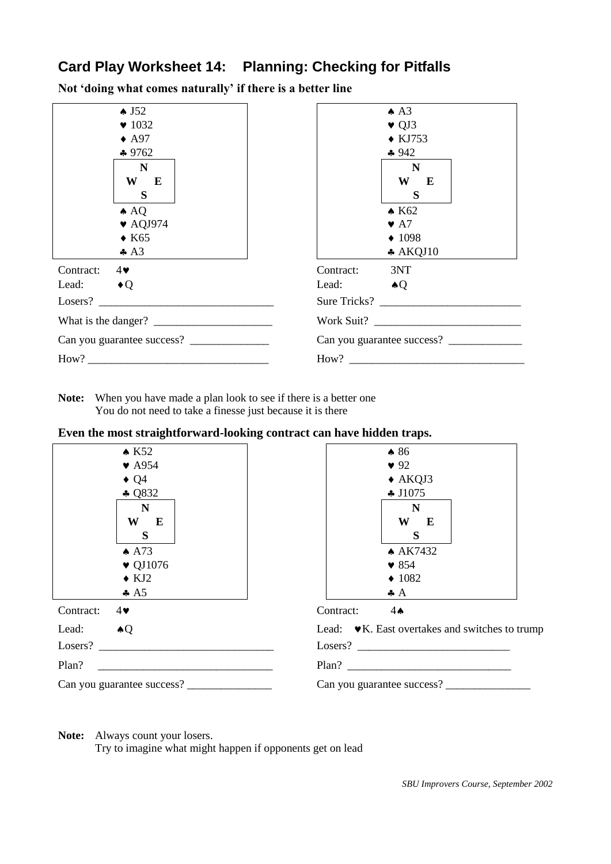# **Card Play Worksheet 14: Planning: Checking for Pitfalls**

**Not 'doing what comes naturally' if there is a better line**

| $\triangle$ J52<br>$\blacktriangledown$ 1032<br>$\triangle$ A97<br>$*9762$<br>$\mathbf N$<br>W<br>E<br>S<br>$\triangle$ AQ<br>$\blacktriangledown$ AQJ974<br>$\triangle$ K65<br>$\clubsuit$ A3                                                                                                                                                                                                                                      | $\triangle$ A3<br>$\blacktriangledown$ QJ3<br>$\triangle$ KJ753<br>$-942$<br>$\mathbf N$<br>W<br>E<br>S<br>$\triangle$ K62<br>$\blacktriangleright$ A7<br>$\triangle$ 1098<br>$*$ AKQJ10 |
|-------------------------------------------------------------------------------------------------------------------------------------------------------------------------------------------------------------------------------------------------------------------------------------------------------------------------------------------------------------------------------------------------------------------------------------|------------------------------------------------------------------------------------------------------------------------------------------------------------------------------------------|
| Contract:<br>$4\bullet$                                                                                                                                                                                                                                                                                                                                                                                                             | 3NT<br>Contract:                                                                                                                                                                         |
| Lead: $\bullet$ Q                                                                                                                                                                                                                                                                                                                                                                                                                   | Lead: $\bullet Q$                                                                                                                                                                        |
| Losers?                                                                                                                                                                                                                                                                                                                                                                                                                             | Sure Tricks?                                                                                                                                                                             |
| What is the danger? $\frac{1}{\frac{1}{2} \cdot \frac{1}{2} \cdot \frac{1}{2} \cdot \frac{1}{2} \cdot \frac{1}{2} \cdot \frac{1}{2} \cdot \frac{1}{2} \cdot \frac{1}{2} \cdot \frac{1}{2} \cdot \frac{1}{2} \cdot \frac{1}{2} \cdot \frac{1}{2} \cdot \frac{1}{2} \cdot \frac{1}{2} \cdot \frac{1}{2} \cdot \frac{1}{2} \cdot \frac{1}{2} \cdot \frac{1}{2} \cdot \frac{1}{2} \cdot \frac{1}{2} \cdot \frac{1}{2} \cdot \frac{1}{2$ |                                                                                                                                                                                          |
|                                                                                                                                                                                                                                                                                                                                                                                                                                     | Can you guarantee success?                                                                                                                                                               |
|                                                                                                                                                                                                                                                                                                                                                                                                                                     |                                                                                                                                                                                          |

**Note:** When you have made a plan look to see if there is a better one You do not need to take a finesse just because it is there

### **Even the most straightforward-looking contract can have hidden traps.**

| $\star$ K52                 | $\bullet 86$                                                     |
|-----------------------------|------------------------------------------------------------------|
| $\blacktriangledown$ A954   | 92                                                               |
| $\bullet$ Q4                | $\triangle$ AKQJ3                                                |
| $\clubsuit$ Q832            | $\clubsuit$ J1075                                                |
| N                           | $\mathbf N$                                                      |
| W<br>E                      | W<br>$\bf{E}$                                                    |
| S                           | S                                                                |
| $\triangle$ A73             | ▲ AK7432                                                         |
| $\blacktriangledown$ QJ1076 | $\bullet$ 854                                                    |
| $\bullet$ KJ2               | $\triangleleft$ 1082                                             |
| $\clubsuit$ A5              | $\clubsuit$ $A$                                                  |
| Contract:<br>$4\bullet$     | Contract:<br>$4\spadesuit$                                       |
| Lead: $\bullet Q$           | Lead: $\mathbf{\bullet}$ K. East overtakes and switches to trump |
|                             |                                                                  |
| Plan?                       |                                                                  |
| Can you guarantee success?  | Can you guarantee success?                                       |
|                             |                                                                  |

**Note:** Always count your losers.

Try to imagine what might happen if opponents get on lead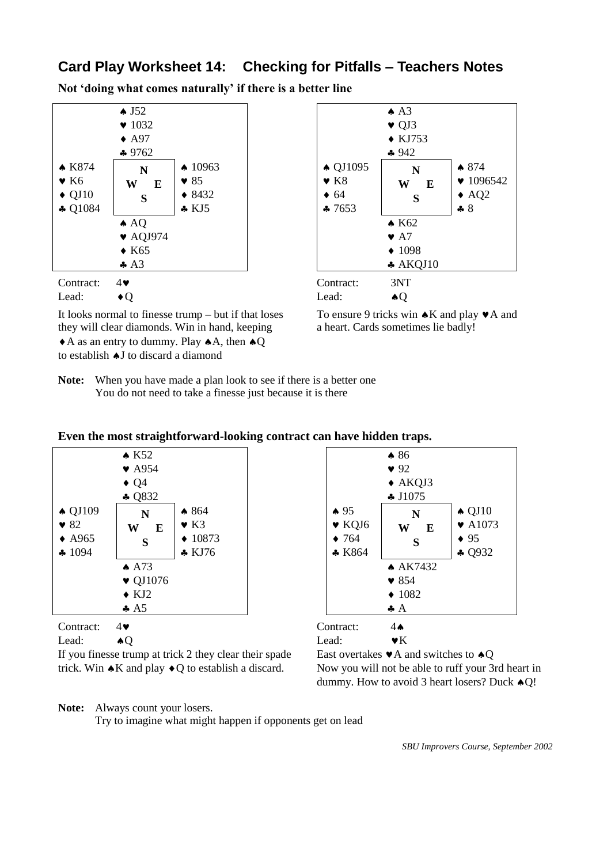# **Card Play Worksheet 14: Checking for Pitfalls – Teachers Notes**

**Not 'doing what comes naturally' if there is a better line**



It looks normal to finesse trump – but if that loses To ensure 9 tricks win  $\triangle K$  and play  $\blacktriangledown A$  and they will clear diamonds. Win in hand, keeping a heart. Cards sometimes lie badly!  $\triangle$  A as an entry to dummy. Play  $\triangle$  A, then  $\triangle$  Q to establish  $\triangle J$  to discard a diamond



**Note:** When you have made a plan look to see if there is a better one You do not need to take a finesse just because it is there

|                   |                             | Even the most straightforward-looking contract can have muden traps. |                            |                    |                             |  |  |  |
|-------------------|-----------------------------|----------------------------------------------------------------------|----------------------------|--------------------|-----------------------------|--|--|--|
|                   | $\triangle$ K52             |                                                                      | $\bullet 86$               |                    |                             |  |  |  |
|                   | $\blacktriangledown$ A954   |                                                                      |                            | $\bullet$ 92       |                             |  |  |  |
|                   | $\triangleleft Q4$          |                                                                      |                            |                    |                             |  |  |  |
| $\clubsuit$ Q832  |                             |                                                                      | $\clubsuit$ J1075          |                    |                             |  |  |  |
| $\triangle$ QJ109 | N                           | $*864$                                                               | $\spadesuit$ 95            | N                  | $\triangle$ QJ10            |  |  |  |
| $\bullet$ 82      | W<br>E                      | $\bullet$ K3                                                         | $\blacktriangleright$ KQJ6 | W<br>E             | $\blacktriangleright$ A1073 |  |  |  |
| $\triangle$ A965  | S                           | $\triangle$ 10873                                                    | $\bullet$ 764              | S                  | $\bullet$ 95                |  |  |  |
| $\clubsuit$ 1094  |                             | $\bullet$ KJ76                                                       | $*$ K864                   |                    | $\clubsuit$ Q932            |  |  |  |
|                   | $\spadesuit$ A73            |                                                                      |                            | $\triangle$ AK7432 |                             |  |  |  |
|                   | $\blacktriangledown$ QJ1076 |                                                                      |                            | $\bullet$ 854      |                             |  |  |  |
|                   | $\bullet$ KJ2               |                                                                      |                            | $\triangle$ 1082   |                             |  |  |  |
|                   | $\clubsuit$ A5              |                                                                      |                            | $\clubsuit$ A      |                             |  |  |  |
| Contract:         | $4\blacktriangledown$       |                                                                      | Contract:                  | $4\spadesuit$      |                             |  |  |  |

### **Even the most straightforward-looking contract can have hidden traps.**

Lead:  $\bullet Q$  Lead:  $\bullet K$ 

If you finesse trump at trick 2 they clear their spade East overtakes  $\blacktriangledown A$  and switches to  $\blacktriangle Q$ trick. Win  $AK$  and play  $\triangle Q$  to establish a discard. Now you will not be able to ruff your 3rd heart in

### **Note:** Always count your losers.

Try to imagine what might happen if opponents get on lead

*SBU Improvers Course, September 2002*

dummy. How to avoid 3 heart losers? Duck  $\triangle$ O!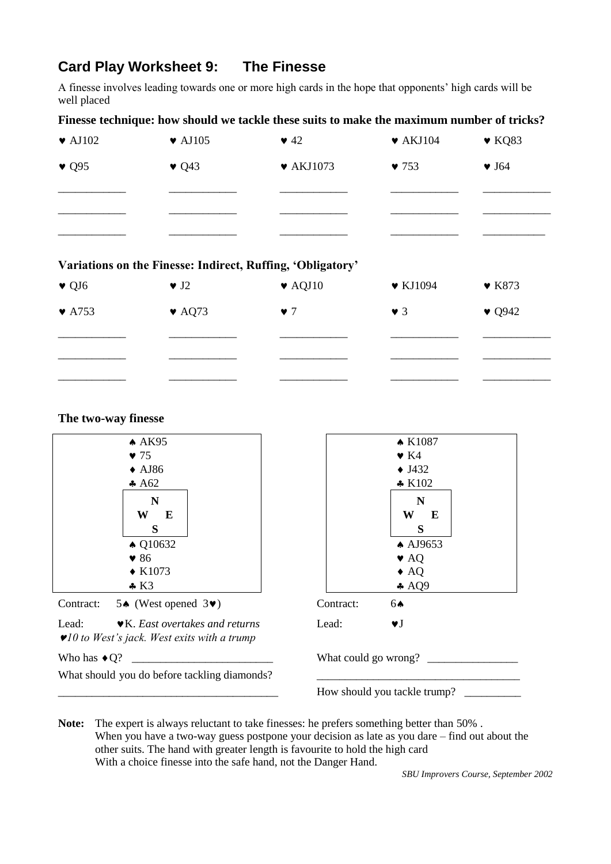# **Card Play Worksheet 9: The Finesse**

A finesse involves leading towards one or more high cards in the hope that opponents' high cards will be well placed

### **Finesse technique: how should we tackle these suits to make the maximum number of tricks?**

| $\blacktriangleright$ AJ102 | $\blacktriangleright$ AJ105 | $\blacktriangledown$ 42      | $\blacktriangleright$ AKJ104 | $\blacktriangledown$ KQ83 |
|-----------------------------|-----------------------------|------------------------------|------------------------------|---------------------------|
| $\bullet$ Q95               | $\bullet$ Q43               | $\blacktriangledown$ AKJ1073 | $\blacktriangledown$ 753     | $\blacktriangledown$ J64  |
|                             |                             |                              |                              |                           |
|                             |                             |                              |                              |                           |
|                             |                             |                              |                              |                           |
|                             |                             |                              |                              |                           |

#### **Variations on the Finesse: Indirect, Ruffing, 'Obligatory'**

| $\bullet$ QJ6              | $\blacktriangledown$ J2    | $\blacktriangleright$ AQJ10 | $\blacktriangledown$ KJ1094 | $\blacktriangleright$ K873 |
|----------------------------|----------------------------|-----------------------------|-----------------------------|----------------------------|
| $\blacktriangleright$ A753 | $\blacktriangleright$ AQ73 | $\bullet$ 7                 | $\vee$ 3                    | $\bullet$ Q942             |
|                            |                            |                             |                             |                            |
|                            |                            |                             |                             |                            |
|                            |                            |                             |                             |                            |

#### **The two-way finesse**



**Note:** The expert is always reluctant to take finesses: he prefers something better than 50% . When you have a two-way guess postpone your decision as late as you dare – find out about the other suits. The hand with greater length is favourite to hold the high card With a choice finesse into the safe hand, not the Danger Hand.